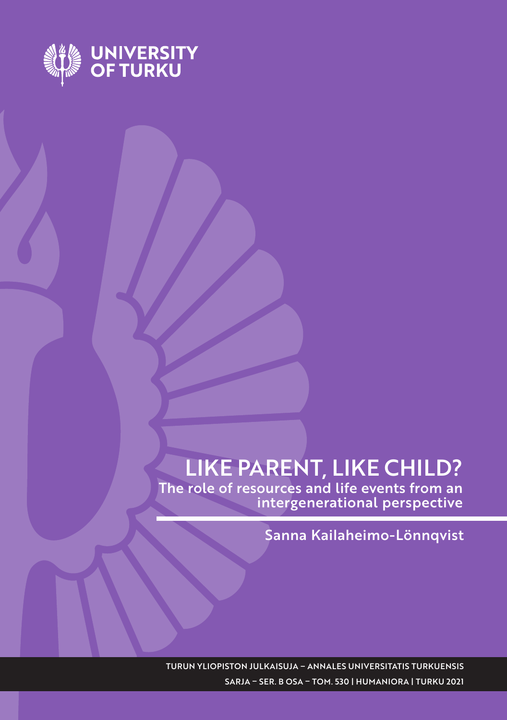

# LIKE PARENT, LIKE CHILD?

The role of resources and life events from an intergenerational perspective

Sanna Kailaheimo-Lönnqvist

TURUN YLIOPISTON JULKAISUJA – ANNALES UNIVERSITATIS TURKUENSIS SARJA – SER. B OSA – TOM. 530 | HUMANIORA | TURKU 2021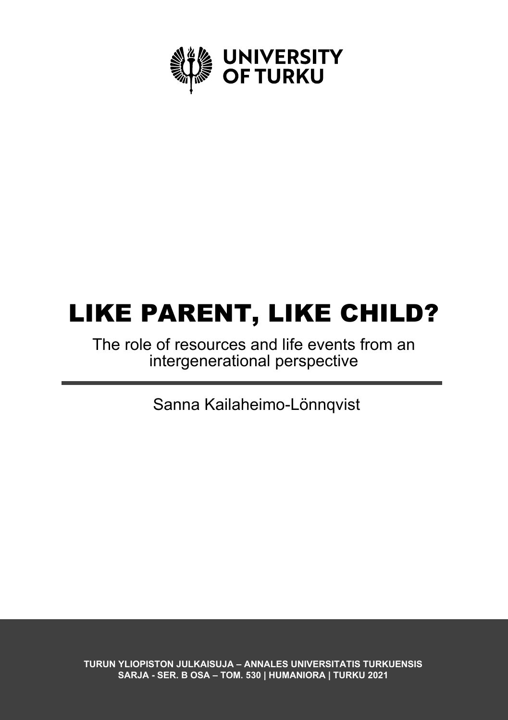

# LIKE PARENT, LIKE CHILD?

The role of resources and life events from an intergenerational perspective

Sanna Kailaheimo-Lönnqvist

**TURUN YLIOPISTON JULKAISUJA – ANNALES UNIVERSITATIS TURKUENSIS SARJA - SER. B OSA – TOM. 530 | HUMANIORA | TURKU 2021**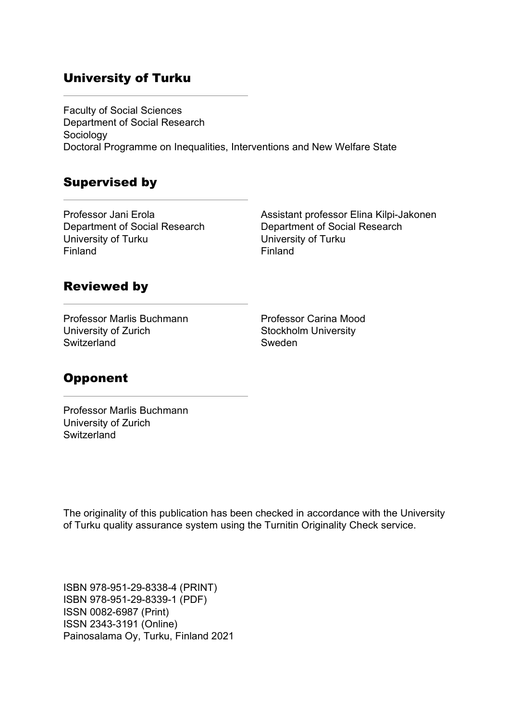### University of Turku

Faculty of Social Sciences Department of Social Research Sociology Doctoral Programme on Inequalities, Interventions and New Welfare State

### Supervised by

Professor Jani Erola Department of Social Research University of Turku Finland

Assistant professor Elina Kilpi-Jakonen Department of Social Research University of Turku Finland

#### Reviewed by

Professor Marlis Buchmann University of Zurich **Switzerland** 

Professor Carina Mood Stockholm University Sweden

## **Opponent**

Professor Marlis Buchmann University of Zurich **Switzerland** 

The originality of this publication has been checked in accordance with the University of Turku quality assurance system using the Turnitin Originality Check service.

ISBN 978-951-29-8338-4 (PRINT) ISBN 978-951-29-8339-1 (PDF) ISSN 0082-6987 (Print) ISSN 2343-3191 (Online) Painosalama Oy, Turku, Finland 2021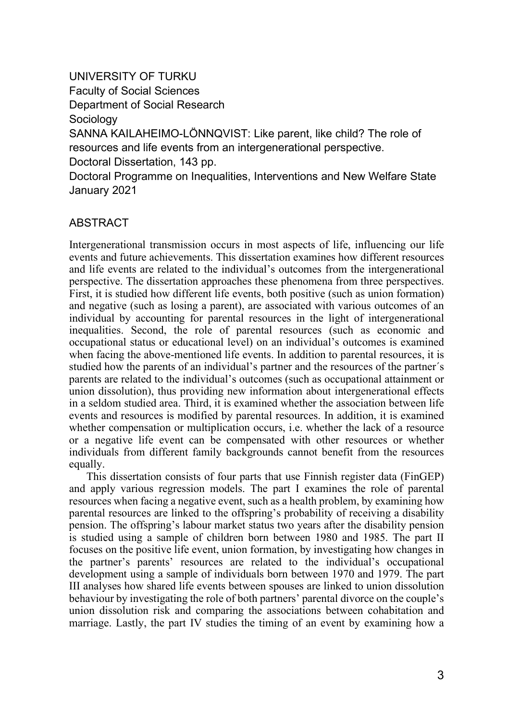UNIVERSITY OF TURKU Faculty of Social Sciences Department of Social Research Sociology SANNA KAILAHEIMO-LÖNNQVIST: Like parent, like child? The role of resources and life events from an intergenerational perspective. Doctoral Dissertation, 143 pp. Doctoral Programme on Inequalities, Interventions and New Welfare State

January 2021

#### ABSTRACT

Intergenerational transmission occurs in most aspects of life, influencing our life events and future achievements. This dissertation examines how different resources and life events are related to the individual's outcomes from the intergenerational perspective. The dissertation approaches these phenomena from three perspectives. First, it is studied how different life events, both positive (such as union formation) and negative (such as losing a parent), are associated with various outcomes of an individual by accounting for parental resources in the light of intergenerational inequalities. Second, the role of parental resources (such as economic and occupational status or educational level) on an individual's outcomes is examined when facing the above-mentioned life events. In addition to parental resources, it is studied how the parents of an individual's partner and the resources of the partner´s parents are related to the individual's outcomes (such as occupational attainment or union dissolution), thus providing new information about intergenerational effects in a seldom studied area. Third, it is examined whether the association between life events and resources is modified by parental resources. In addition, it is examined whether compensation or multiplication occurs, i.e. whether the lack of a resource or a negative life event can be compensated with other resources or whether individuals from different family backgrounds cannot benefit from the resources equally.

This dissertation consists of four parts that use Finnish register data (FinGEP) and apply various regression models. The part I examines the role of parental resources when facing a negative event, such as a health problem, by examining how parental resources are linked to the offspring's probability of receiving a disability pension. The offspring's labour market status two years after the disability pension is studied using a sample of children born between 1980 and 1985. The part II focuses on the positive life event, union formation, by investigating how changes in the partner's parents' resources are related to the individual's occupational development using a sample of individuals born between 1970 and 1979. The part III analyses how shared life events between spouses are linked to union dissolution behaviour by investigating the role of both partners' parental divorce on the couple's union dissolution risk and comparing the associations between cohabitation and marriage. Lastly, the part IV studies the timing of an event by examining how a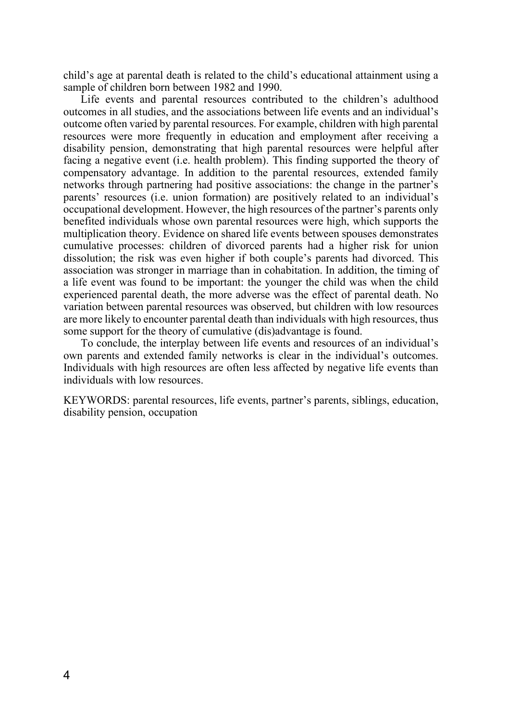child's age at parental death is related to the child's educational attainment using a sample of children born between 1982 and 1990.

Life events and parental resources contributed to the children's adulthood outcomes in all studies, and the associations between life events and an individual's outcome often varied by parental resources. For example, children with high parental resources were more frequently in education and employment after receiving a disability pension, demonstrating that high parental resources were helpful after facing a negative event (i.e. health problem). This finding supported the theory of compensatory advantage. In addition to the parental resources, extended family networks through partnering had positive associations: the change in the partner's parents' resources (i.e. union formation) are positively related to an individual's occupational development. However, the high resources of the partner's parents only benefited individuals whose own parental resources were high, which supports the multiplication theory. Evidence on shared life events between spouses demonstrates cumulative processes: children of divorced parents had a higher risk for union dissolution; the risk was even higher if both couple's parents had divorced. This association was stronger in marriage than in cohabitation. In addition, the timing of a life event was found to be important: the younger the child was when the child experienced parental death, the more adverse was the effect of parental death. No variation between parental resources was observed, but children with low resources are more likely to encounter parental death than individuals with high resources, thus some support for the theory of cumulative (dis)advantage is found.

To conclude, the interplay between life events and resources of an individual's own parents and extended family networks is clear in the individual's outcomes. Individuals with high resources are often less affected by negative life events than individuals with low resources.

KEYWORDS: parental resources, life events, partner's parents, siblings, education, disability pension, occupation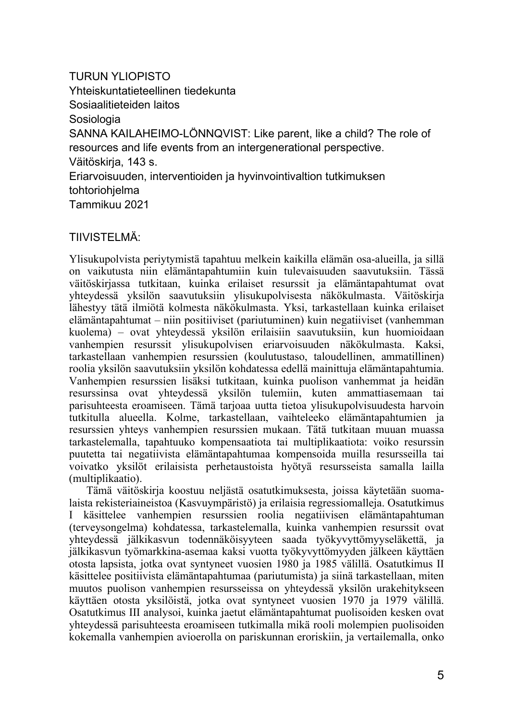TURUN YLIOPISTO Yhteiskuntatieteellinen tiedekunta Sosiaalitieteiden laitos Sosiologia SANNA KAILAHEIMO-LÖNNQVIST: Like parent, like a child? The role of resources and life events from an intergenerational perspective. Väitöskirja, 143 s. Eriarvoisuuden, interventioiden ja hyvinvointivaltion tutkimuksen tohtoriohjelma Tammikuu 2021

#### TIIVISTELMÄ:

Ylisukupolvista periytymistä tapahtuu melkein kaikilla elämän osa-alueilla, ja sillä on vaikutusta niin elämäntapahtumiin kuin tulevaisuuden saavutuksiin. Tässä väitöskirjassa tutkitaan, kuinka erilaiset resurssit ja elämäntapahtumat ovat yhteydessä yksilön saavutuksiin ylisukupolvisesta näkökulmasta. Väitöskirja lähestyy tätä ilmiötä kolmesta näkökulmasta. Yksi, tarkastellaan kuinka erilaiset elämäntapahtumat – niin positiiviset (pariutuminen) kuin negatiiviset (vanhemman kuolema) – ovat yhteydessä yksilön erilaisiin saavutuksiin, kun huomioidaan vanhempien resurssit ylisukupolvisen eriarvoisuuden näkökulmasta. Kaksi, tarkastellaan vanhempien resurssien (koulutustaso, taloudellinen, ammatillinen) roolia yksilön saavutuksiin yksilön kohdatessa edellä mainittuja elämäntapahtumia. Vanhempien resurssien lisäksi tutkitaan, kuinka puolison vanhemmat ja heidän resurssinsa ovat yhteydessä yksilön tulemiin, kuten ammattiasemaan tai parisuhteesta eroamiseen. Tämä tarjoaa uutta tietoa ylisukupolvisuudesta harvoin tutkitulla alueella. Kolme, tarkastellaan, vaihteleeko elämäntapahtumien ja resurssien yhteys vanhempien resurssien mukaan. Tätä tutkitaan muuan muassa tarkastelemalla, tapahtuuko kompensaatiota tai multiplikaatiota: voiko resurssin puutetta tai negatiivista elämäntapahtumaa kompensoida muilla resursseilla tai voivatko yksilöt erilaisista perhetaustoista hyötyä resursseista samalla lailla (multiplikaatio).

Tämä väitöskirja koostuu neljästä osatutkimuksesta, joissa käytetään suomalaista rekisteriaineistoa (Kasvuympäristö) ja erilaisia regressiomalleja. Osatutkimus I käsittelee vanhempien resurssien roolia negatiivisen elämäntapahtuman (terveysongelma) kohdatessa, tarkastelemalla, kuinka vanhempien resurssit ovat yhteydessä jälkikasvun todennäköisyyteen saada työkyvyttömyyseläkettä, ja jälkikasvun työmarkkina-asemaa kaksi vuotta työkyvyttömyyden jälkeen käyttäen otosta lapsista, jotka ovat syntyneet vuosien 1980 ja 1985 välillä. Osatutkimus II käsittelee positiivista elämäntapahtumaa (pariutumista) ja siinä tarkastellaan, miten muutos puolison vanhempien resursseissa on yhteydessä yksilön urakehitykseen käyttäen otosta yksilöistä, jotka ovat syntyneet vuosien 1970 ja 1979 välillä. Osatutkimus III analysoi, kuinka jaetut elämäntapahtumat puolisoiden kesken ovat yhteydessä parisuhteesta eroamiseen tutkimalla mikä rooli molempien puolisoiden kokemalla vanhempien avioerolla on pariskunnan eroriskiin, ja vertailemalla, onko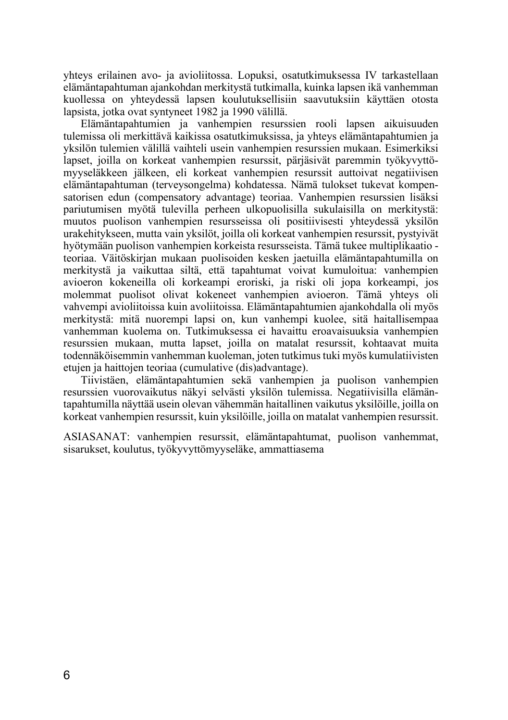yhteys erilainen avo- ja avioliitossa. Lopuksi, osatutkimuksessa IV tarkastellaan elämäntapahtuman ajankohdan merkitystä tutkimalla, kuinka lapsen ikä vanhemman kuollessa on yhteydessä lapsen koulutuksellisiin saavutuksiin käyttäen otosta lapsista, jotka ovat syntyneet 1982 ja 1990 välillä.

Elämäntapahtumien ja vanhempien resurssien rooli lapsen aikuisuuden tulemissa oli merkittävä kaikissa osatutkimuksissa, ja yhteys elämäntapahtumien ja yksilön tulemien välillä vaihteli usein vanhempien resurssien mukaan. Esimerkiksi lapset, joilla on korkeat vanhempien resurssit, pärjäsivät paremmin työkyvyttömyyseläkkeen jälkeen, eli korkeat vanhempien resurssit auttoivat negatiivisen elämäntapahtuman (terveysongelma) kohdatessa. Nämä tulokset tukevat kompensatorisen edun (compensatory advantage) teoriaa. Vanhempien resurssien lisäksi pariutumisen myötä tulevilla perheen ulkopuolisilla sukulaisilla on merkitystä: muutos puolison vanhempien resursseissa oli positiivisesti yhteydessä yksilön urakehitykseen, mutta vain yksilöt, joilla oli korkeat vanhempien resurssit, pystyivät hyötymään puolison vanhempien korkeista resursseista. Tämä tukee multiplikaatio teoriaa. Väitöskirjan mukaan puolisoiden kesken jaetuilla elämäntapahtumilla on merkitystä ja vaikuttaa siltä, että tapahtumat voivat kumuloitua: vanhempien avioeron kokeneilla oli korkeampi eroriski, ja riski oli jopa korkeampi, jos molemmat puolisot olivat kokeneet vanhempien avioeron. Tämä yhteys oli vahvempi avioliitoissa kuin avoliitoissa. Elämäntapahtumien ajankohdalla oli myös merkitystä: mitä nuorempi lapsi on, kun vanhempi kuolee, sitä haitallisempaa vanhemman kuolema on. Tutkimuksessa ei havaittu eroavaisuuksia vanhempien resurssien mukaan, mutta lapset, joilla on matalat resurssit, kohtaavat muita todennäköisemmin vanhemman kuoleman, joten tutkimus tuki myös kumulatiivisten etujen ja haittojen teoriaa (cumulative (dis)advantage).

Tiivistäen, elämäntapahtumien sekä vanhempien ja puolison vanhempien resurssien vuorovaikutus näkyi selvästi yksilön tulemissa. Negatiivisilla elämäntapahtumilla näyttää usein olevan vähemmän haitallinen vaikutus yksilöille, joilla on korkeat vanhempien resurssit, kuin yksilöille, joilla on matalat vanhempien resurssit.

ASIASANAT: vanhempien resurssit, elämäntapahtumat, puolison vanhemmat, sisarukset, koulutus, työkyvyttömyyseläke, ammattiasema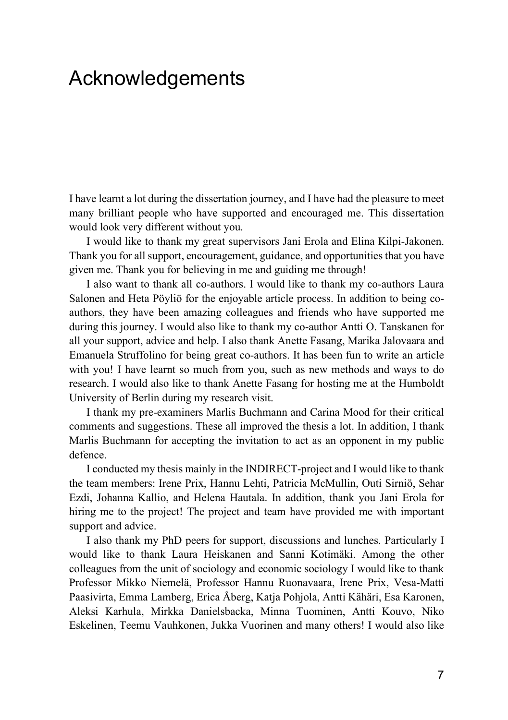# <span id="page-8-0"></span>Acknowledgements

I have learnt a lot during the dissertation journey, and I have had the pleasure to meet many brilliant people who have supported and encouraged me. This dissertation would look very different without you.

I would like to thank my great supervisors Jani Erola and Elina Kilpi-Jakonen. Thank you for all support, encouragement, guidance, and opportunities that you have given me. Thank you for believing in me and guiding me through!

I also want to thank all co-authors. I would like to thank my co-authors Laura Salonen and Heta Pöyliö for the enjoyable article process. In addition to being coauthors, they have been amazing colleagues and friends who have supported me during this journey. I would also like to thank my co-author Antti O. Tanskanen for all your support, advice and help. I also thank Anette Fasang, Marika Jalovaara and Emanuela Struffolino for being great co-authors. It has been fun to write an article with you! I have learnt so much from you, such as new methods and ways to do research. I would also like to thank Anette Fasang for hosting me at the Humboldt University of Berlin during my research visit.

I thank my pre-examiners Marlis Buchmann and Carina Mood for their critical comments and suggestions. These all improved the thesis a lot. In addition, I thank Marlis Buchmann for accepting the invitation to act as an opponent in my public defence.

I conducted my thesis mainly in the INDIRECT-project and I would like to thank the team members: Irene Prix, Hannu Lehti, Patricia McMullin, Outi Sirniö, Sehar Ezdi, Johanna Kallio, and Helena Hautala. In addition, thank you Jani Erola for hiring me to the project! The project and team have provided me with important support and advice.

I also thank my PhD peers for support, discussions and lunches. Particularly I would like to thank Laura Heiskanen and Sanni Kotimäki. Among the other colleagues from the unit of sociology and economic sociology I would like to thank Professor Mikko Niemelä, Professor Hannu Ruonavaara, Irene Prix, Vesa-Matti Paasivirta, Emma Lamberg, Erica Åberg, Katja Pohjola, Antti Kähäri, Esa Karonen, Aleksi Karhula, Mirkka Danielsbacka, Minna Tuominen, Antti Kouvo, Niko Eskelinen, Teemu Vauhkonen, Jukka Vuorinen and many others! I would also like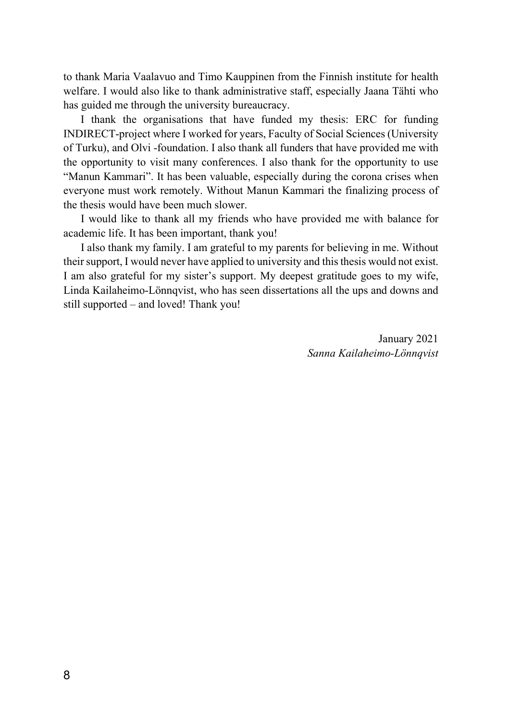to thank Maria Vaalavuo and Timo Kauppinen from the Finnish institute for health welfare. I would also like to thank administrative staff, especially Jaana Tähti who has guided me through the university bureaucracy.

I thank the organisations that have funded my thesis: ERC for funding INDIRECT-project where I worked for years, Faculty of Social Sciences (University of Turku), and Olvi -foundation. I also thank all funders that have provided me with the opportunity to visit many conferences. I also thank for the opportunity to use "Manun Kammari". It has been valuable, especially during the corona crises when everyone must work remotely. Without Manun Kammari the finalizing process of the thesis would have been much slower.

I would like to thank all my friends who have provided me with balance for academic life. It has been important, thank you!

I also thank my family. I am grateful to my parents for believing in me. Without their support, I would never have applied to university and this thesis would not exist. I am also grateful for my sister's support. My deepest gratitude goes to my wife, Linda Kailaheimo-Lönnqvist, who has seen dissertations all the ups and downs and still supported – and loved! Thank you!

> January 2021 *Sanna Kailaheimo-Lönnqvist*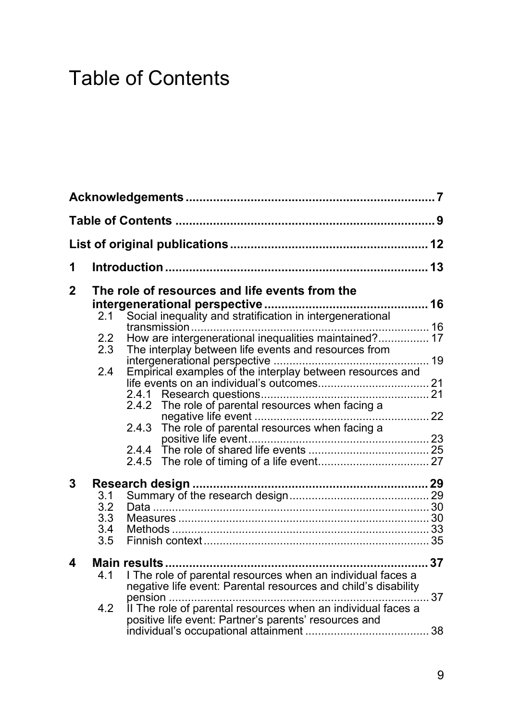# <span id="page-10-0"></span>Table of Contents

| 1              |                                 |                                                                                                                                                                                                                                                                                                                                                 |  |
|----------------|---------------------------------|-------------------------------------------------------------------------------------------------------------------------------------------------------------------------------------------------------------------------------------------------------------------------------------------------------------------------------------------------|--|
| $\overline{2}$ | 2.1<br>2.2<br>2.3<br>2.4        | The role of resources and life events from the<br>Social inequality and stratification in intergenerational<br>How are intergenerational inequalities maintained? 17<br>The interplay between life events and resources from<br>Empirical examples of the interplay between resources and<br>2.4.2 The role of parental resources when facing a |  |
| 3              | 3.1<br>3.2<br>3.3<br>3.4<br>3.5 |                                                                                                                                                                                                                                                                                                                                                 |  |
| 4              | 4.1<br>4.2                      | I The role of parental resources when an individual faces a<br>negative life event: Parental resources and child's disability<br>II The role of parental resources when an individual faces a<br>positive life event: Partner's parents' resources and                                                                                          |  |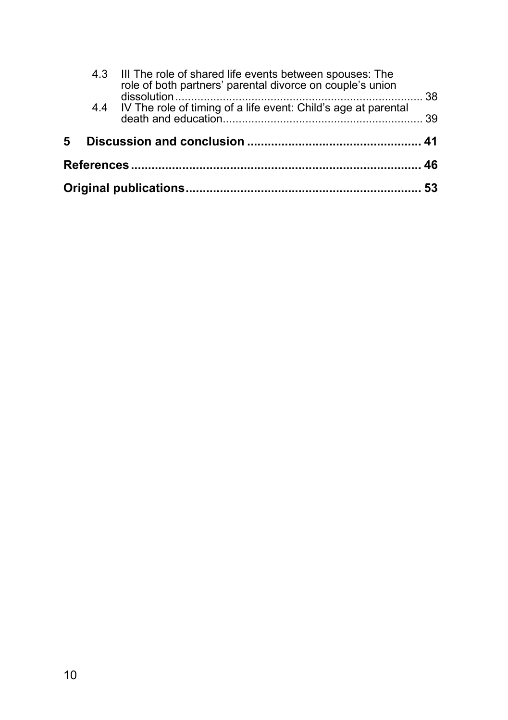|   | 4.3 III The role of shared life events between spouses: The<br>role of both partners' parental divorce on couple's union |           |
|---|--------------------------------------------------------------------------------------------------------------------------|-----------|
|   | 4.4 IV The role of timing of a life event: Child's age at parental                                                       | -38<br>39 |
| 5 |                                                                                                                          |           |
|   |                                                                                                                          |           |
|   |                                                                                                                          |           |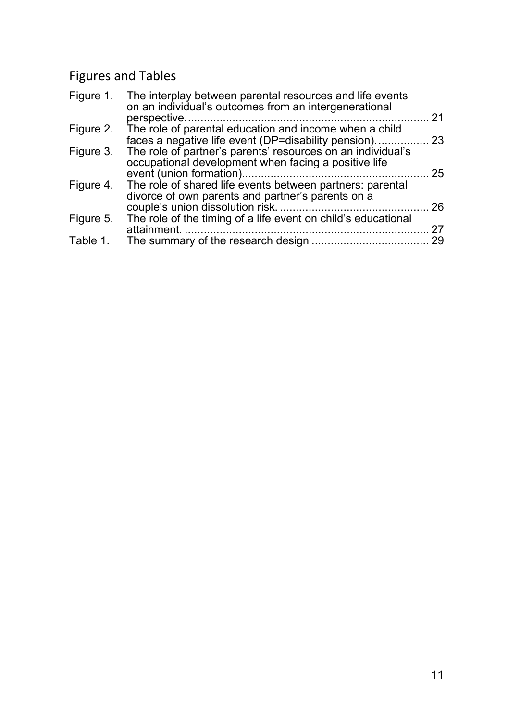# Figures and Tables

|           | Figure 1. The interplay between parental resources and life events<br>on an individual's outcomes from an intergenerational |    |
|-----------|-----------------------------------------------------------------------------------------------------------------------------|----|
|           |                                                                                                                             | 21 |
| Figure 2. | The role of parental education and income when a child                                                                      |    |
|           | faces a negative life event (DP=disability pension)                                                                         | 23 |
| Figure 3. | The role of partner's parents' resources on an individual's                                                                 |    |
|           | occupational development when facing a positive life                                                                        |    |
|           |                                                                                                                             | 25 |
| Figure 4. | The role of shared life events between partners: parental                                                                   |    |
|           | divorce of own parents and partner's parents on a                                                                           |    |
|           |                                                                                                                             | 26 |
| Figure 5. | The role of the timing of a life event on child's educational                                                               |    |
|           | attainment.                                                                                                                 | 27 |
| Table 1.  |                                                                                                                             | 29 |
|           |                                                                                                                             |    |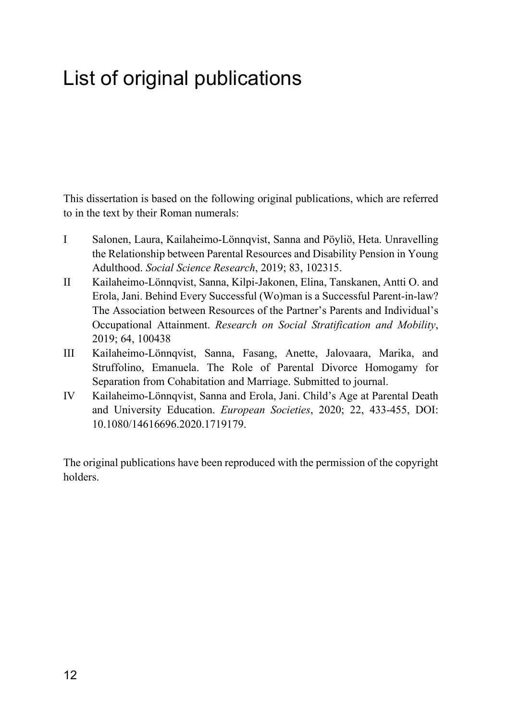# <span id="page-13-0"></span>List of original publications

This dissertation is based on the following original publications, which are referred to in the text by their Roman numerals:

- I Salonen, Laura, Kailaheimo-Lönnqvist, Sanna and Pöyliö, Heta. Unravelling the Relationship between Parental Resources and Disability Pension in Young Adulthood. *Social Science Research*, 2019; 83, 102315.
- II Kailaheimo-Lönnqvist, Sanna, Kilpi-Jakonen, Elina, Tanskanen, Antti O. and Erola, Jani. Behind Every Successful (Wo)man is a Successful Parent-in-law? The Association between Resources of the Partner's Parents and Individual's Occupational Attainment. *Research on Social Stratification and Mobility*, 2019; 64, 100438
- III Kailaheimo-Lönnqvist, Sanna, Fasang, Anette, Jalovaara, Marika, and Struffolino, Emanuela. The Role of Parental Divorce Homogamy for Separation from Cohabitation and Marriage. Submitted to journal.
- IV Kailaheimo-Lönnqvist, Sanna and Erola, Jani. Child's Age at Parental Death and University Education. *European Societies*, 2020; 22, 433-455, DOI: 10.1080/14616696.2020.1719179.

The original publications have been reproduced with the permission of the copyright holders.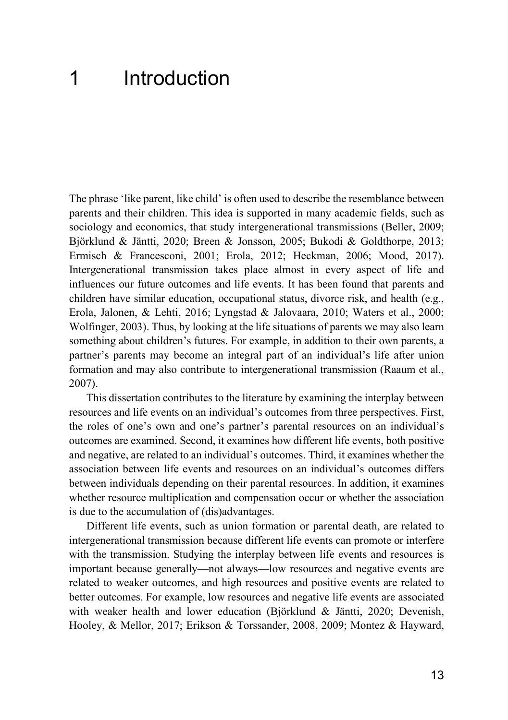# <span id="page-14-0"></span>1 Introduction

The phrase 'like parent, like child' is often used to describe the resemblance between parents and their children. This idea is supported in many academic fields, such as sociology and economics, that study intergenerational transmissions (Beller, 2009; Björklund & Jäntti, 2020; Breen & Jonsson, 2005; Bukodi & Goldthorpe, 2013; Ermisch & Francesconi, 2001; Erola, 2012; Heckman, 2006; Mood, 2017). Intergenerational transmission takes place almost in every aspect of life and influences our future outcomes and life events. It has been found that parents and children have similar education, occupational status, divorce risk, and health (e.g., Erola, Jalonen, & Lehti, 2016; Lyngstad & Jalovaara, 2010; Waters et al., 2000; Wolfinger, 2003). Thus, by looking at the life situations of parents we may also learn something about children's futures. For example, in addition to their own parents, a partner's parents may become an integral part of an individual's life after union formation and may also contribute to intergenerational transmission (Raaum et al., 2007).

This dissertation contributes to the literature by examining the interplay between resources and life events on an individual's outcomes from three perspectives. First, the roles of one's own and one's partner's parental resources on an individual's outcomes are examined. Second, it examines how different life events, both positive and negative, are related to an individual's outcomes. Third, it examines whether the association between life events and resources on an individual's outcomes differs between individuals depending on their parental resources. In addition, it examines whether resource multiplication and compensation occur or whether the association is due to the accumulation of (dis)advantages.

Different life events, such as union formation or parental death, are related to intergenerational transmission because different life events can promote or interfere with the transmission. Studying the interplay between life events and resources is important because generally—not always—low resources and negative events are related to weaker outcomes, and high resources and positive events are related to better outcomes. For example, low resources and negative life events are associated with weaker health and lower education (Björklund & Jäntti, 2020; Devenish, Hooley, & Mellor, 2017; Erikson & Torssander, 2008, 2009; Montez & Hayward,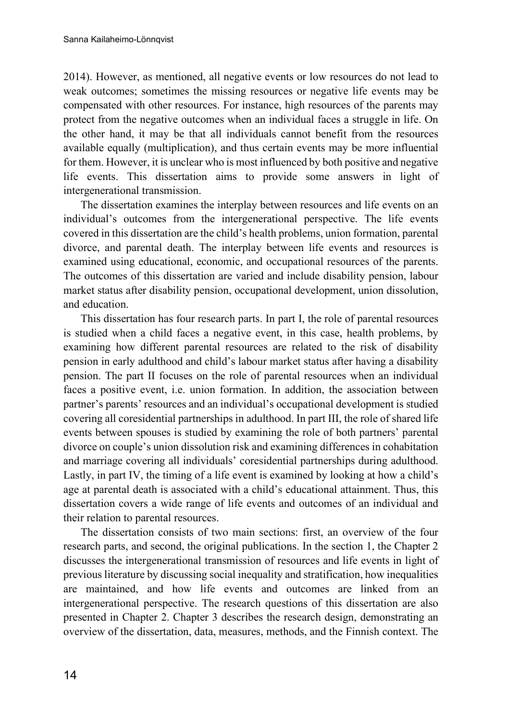2014). However, as mentioned, all negative events or low resources do not lead to weak outcomes; sometimes the missing resources or negative life events may be compensated with other resources. For instance, high resources of the parents may protect from the negative outcomes when an individual faces a struggle in life. On the other hand, it may be that all individuals cannot benefit from the resources available equally (multiplication), and thus certain events may be more influential for them. However, it is unclear who is most influenced by both positive and negative life events. This dissertation aims to provide some answers in light of intergenerational transmission.

The dissertation examines the interplay between resources and life events on an individual's outcomes from the intergenerational perspective. The life events covered in this dissertation are the child's health problems, union formation, parental divorce, and parental death. The interplay between life events and resources is examined using educational, economic, and occupational resources of the parents. The outcomes of this dissertation are varied and include disability pension, labour market status after disability pension, occupational development, union dissolution, and education.

This dissertation has four research parts. In part I, the role of parental resources is studied when a child faces a negative event, in this case, health problems, by examining how different parental resources are related to the risk of disability pension in early adulthood and child's labour market status after having a disability pension. The part II focuses on the role of parental resources when an individual faces a positive event, i.e. union formation. In addition, the association between partner's parents' resources and an individual's occupational development is studied covering all coresidential partnerships in adulthood. In part III, the role of shared life events between spouses is studied by examining the role of both partners' parental divorce on couple's union dissolution risk and examining differences in cohabitation and marriage covering all individuals' coresidential partnerships during adulthood. Lastly, in part IV, the timing of a life event is examined by looking at how a child's age at parental death is associated with a child's educational attainment. Thus, this dissertation covers a wide range of life events and outcomes of an individual and their relation to parental resources.

The dissertation consists of two main sections: first, an overview of the four research parts, and second, the original publications. In the section 1, the Chapter 2 discusses the intergenerational transmission of resources and life events in light of previous literature by discussing social inequality and stratification, how inequalities are maintained, and how life events and outcomes are linked from an intergenerational perspective. The research questions of this dissertation are also presented in Chapter 2. Chapter 3 describes the research design, demonstrating an overview of the dissertation, data, measures, methods, and the Finnish context. The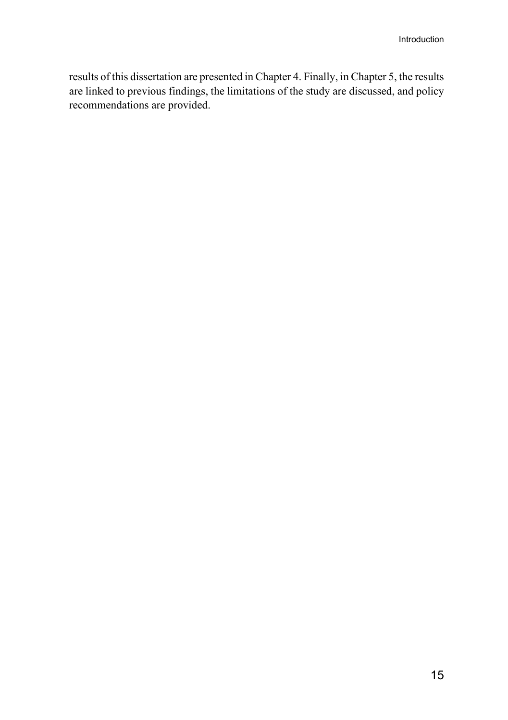results of this dissertation are presented in Chapter 4. Finally, in Chapter 5, the results are linked to previous findings, the limitations of the study are discussed, and policy recommendations are provided.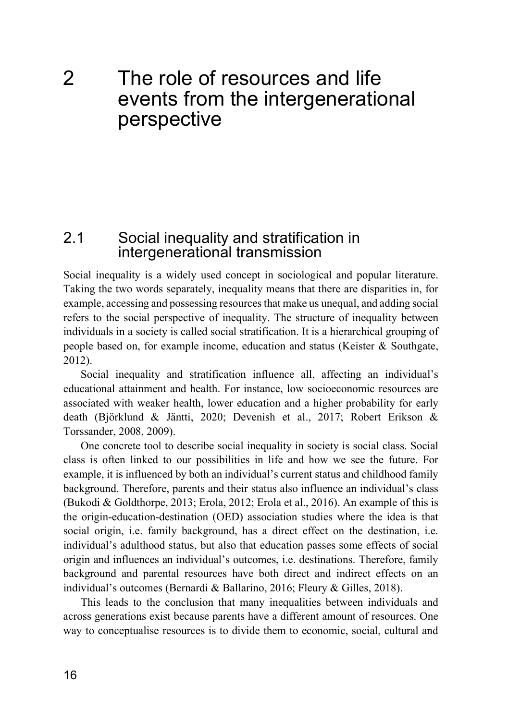# <span id="page-17-0"></span>2 The role of resources and life events from the intergenerational perspective

### <span id="page-17-1"></span>2.1 Social inequality and stratification in intergenerational transmission

Social inequality is a widely used concept in sociological and popular literature. Taking the two words separately, inequality means that there are disparities in, for example, accessing and possessing resources that make us unequal, and adding social refers to the social perspective of inequality. The structure of inequality between individuals in a society is called social stratification. It is a hierarchical grouping of people based on, for example income, education and status (Keister & Southgate, 2012).

Social inequality and stratification influence all, affecting an individual's educational attainment and health. For instance, low socioeconomic resources are associated with weaker health, lower education and a higher probability for early death (Björklund & Jäntti, 2020; Devenish et al., 2017; Robert Erikson & Torssander, 2008, 2009).

One concrete tool to describe social inequality in society is social class. Social class is often linked to our possibilities in life and how we see the future. For example, it is influenced by both an individual's current status and childhood family background. Therefore, parents and their status also influence an individual's class (Bukodi & Goldthorpe, 2013; Erola, 2012; Erola et al., 2016). An example of this is the origin-education-destination (OED) association studies where the idea is that social origin, i.e. family background, has a direct effect on the destination, i.e. individual's adulthood status, but also that education passes some effects of social origin and influences an individual's outcomes, i.e. destinations. Therefore, family background and parental resources have both direct and indirect effects on an individual's outcomes (Bernardi & Ballarino, 2016; Fleury & Gilles, 2018).

This leads to the conclusion that many inequalities between individuals and across generations exist because parents have a different amount of resources. One way to conceptualise resources is to divide them to economic, social, cultural and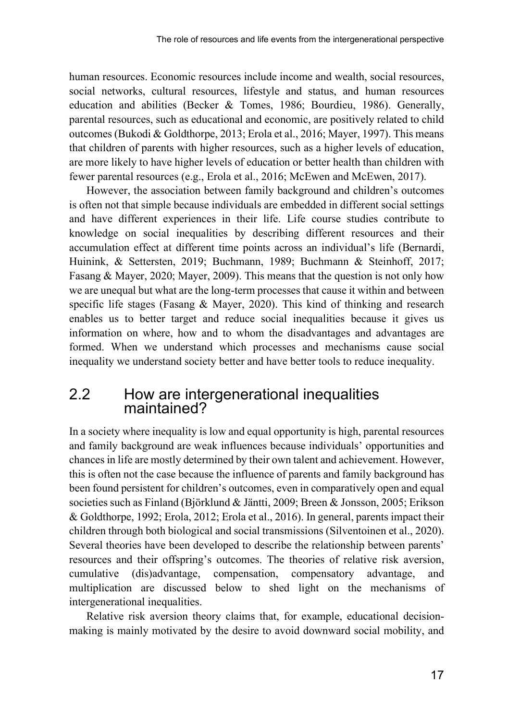human resources. Economic resources include income and wealth, social resources, social networks, cultural resources, lifestyle and status, and human resources education and abilities (Becker & Tomes, 1986; Bourdieu, 1986). Generally, parental resources, such as educational and economic, are positively related to child outcomes (Bukodi & Goldthorpe, 2013; Erola et al., 2016; Mayer, 1997). This means that children of parents with higher resources, such as a higher levels of education, are more likely to have higher levels of education or better health than children with fewer parental resources (e.g., Erola et al., 2016; McEwen and McEwen, 2017).

However, the association between family background and children's outcomes is often not that simple because individuals are embedded in different social settings and have different experiences in their life. Life course studies contribute to knowledge on social inequalities by describing different resources and their accumulation effect at different time points across an individual's life (Bernardi, Huinink, & Settersten, 2019; Buchmann, 1989; Buchmann & Steinhoff, 2017; Fasang & Mayer, 2020; Mayer, 2009). This means that the question is not only how we are unequal but what are the long-term processes that cause it within and between specific life stages (Fasang & Mayer, 2020). This kind of thinking and research enables us to better target and reduce social inequalities because it gives us information on where, how and to whom the disadvantages and advantages are formed. When we understand which processes and mechanisms cause social inequality we understand society better and have better tools to reduce inequality.

# <span id="page-18-0"></span>2.2 How are intergenerational inequalities maintained?

In a society where inequality is low and equal opportunity is high, parental resources and family background are weak influences because individuals' opportunities and chances in life are mostly determined by their own talent and achievement. However, this is often not the case because the influence of parents and family background has been found persistent for children's outcomes, even in comparatively open and equal societies such as Finland (Björklund & Jäntti, 2009; Breen & Jonsson, 2005; Erikson & Goldthorpe, 1992; Erola, 2012; Erola et al., 2016). In general, parents impact their children through both biological and social transmissions (Silventoinen et al., 2020). Several theories have been developed to describe the relationship between parents' resources and their offspring's outcomes. The theories of relative risk aversion, cumulative (dis)advantage, compensation, compensatory advantage, and multiplication are discussed below to shed light on the mechanisms of intergenerational inequalities.

Relative risk aversion theory claims that, for example, educational decisionmaking is mainly motivated by the desire to avoid downward social mobility, and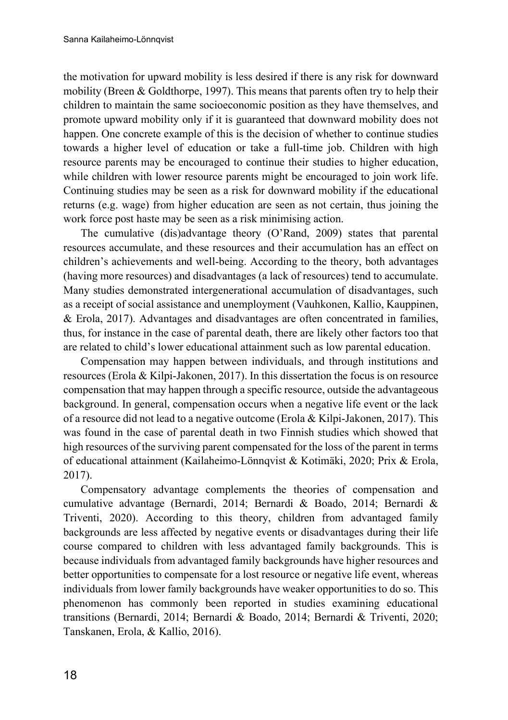the motivation for upward mobility is less desired if there is any risk for downward mobility (Breen & Goldthorpe, 1997). This means that parents often try to help their children to maintain the same socioeconomic position as they have themselves, and promote upward mobility only if it is guaranteed that downward mobility does not happen. One concrete example of this is the decision of whether to continue studies towards a higher level of education or take a full-time job. Children with high resource parents may be encouraged to continue their studies to higher education, while children with lower resource parents might be encouraged to join work life. Continuing studies may be seen as a risk for downward mobility if the educational returns (e.g. wage) from higher education are seen as not certain, thus joining the work force post haste may be seen as a risk minimising action.

The cumulative (dis)advantage theory (O'Rand, 2009) states that parental resources accumulate, and these resources and their accumulation has an effect on children's achievements and well-being. According to the theory, both advantages (having more resources) and disadvantages (a lack of resources) tend to accumulate. Many studies demonstrated intergenerational accumulation of disadvantages, such as a receipt of social assistance and unemployment (Vauhkonen, Kallio, Kauppinen, & Erola, 2017). Advantages and disadvantages are often concentrated in families, thus, for instance in the case of parental death, there are likely other factors too that are related to child's lower educational attainment such as low parental education.

Compensation may happen between individuals, and through institutions and resources (Erola & Kilpi-Jakonen, 2017). In this dissertation the focus is on resource compensation that may happen through a specific resource, outside the advantageous background. In general, compensation occurs when a negative life event or the lack of a resource did not lead to a negative outcome (Erola & Kilpi-Jakonen, 2017). This was found in the case of parental death in two Finnish studies which showed that high resources of the surviving parent compensated for the loss of the parent in terms of educational attainment (Kailaheimo-Lönnqvist & Kotimäki, 2020; Prix & Erola, 2017).

Compensatory advantage complements the theories of compensation and cumulative advantage (Bernardi, 2014; Bernardi & Boado, 2014; Bernardi & Triventi, 2020). According to this theory, children from advantaged family backgrounds are less affected by negative events or disadvantages during their life course compared to children with less advantaged family backgrounds. This is because individuals from advantaged family backgrounds have higher resources and better opportunities to compensate for a lost resource or negative life event, whereas individuals from lower family backgrounds have weaker opportunities to do so. This phenomenon has commonly been reported in studies examining educational transitions (Bernardi, 2014; Bernardi & Boado, 2014; Bernardi & Triventi, 2020; Tanskanen, Erola, & Kallio, 2016).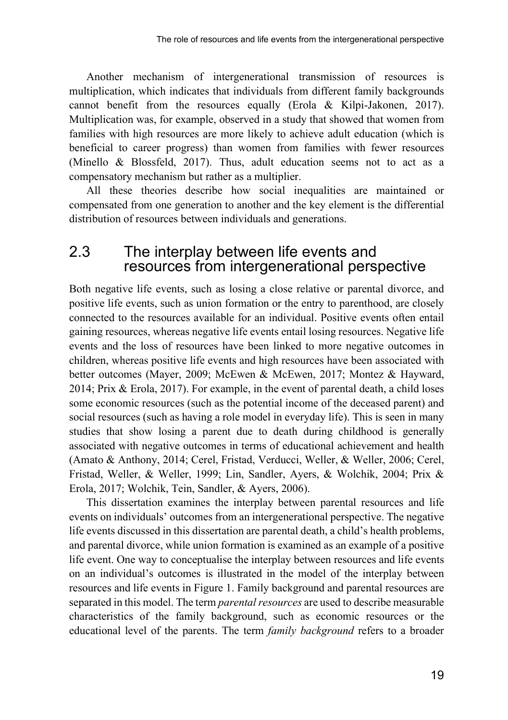Another mechanism of intergenerational transmission of resources is multiplication, which indicates that individuals from different family backgrounds cannot benefit from the resources equally (Erola & Kilpi-Jakonen, 2017). Multiplication was, for example, observed in a study that showed that women from families with high resources are more likely to achieve adult education (which is beneficial to career progress) than women from families with fewer resources (Minello & Blossfeld, 2017). Thus, adult education seems not to act as a compensatory mechanism but rather as a multiplier.

All these theories describe how social inequalities are maintained or compensated from one generation to another and the key element is the differential distribution of resources between individuals and generations.

### <span id="page-20-0"></span>2.3 The interplay between life events and resources from intergenerational perspective

Both negative life events, such as losing a close relative or parental divorce, and positive life events, such as union formation or the entry to parenthood, are closely connected to the resources available for an individual. Positive events often entail gaining resources, whereas negative life events entail losing resources. Negative life events and the loss of resources have been linked to more negative outcomes in children, whereas positive life events and high resources have been associated with better outcomes (Mayer, 2009; McEwen & McEwen, 2017; Montez & Hayward, 2014; Prix & Erola, 2017). For example, in the event of parental death, a child loses some economic resources (such as the potential income of the deceased parent) and social resources (such as having a role model in everyday life). This is seen in many studies that show losing a parent due to death during childhood is generally associated with negative outcomes in terms of educational achievement and health (Amato & Anthony, 2014; Cerel, Fristad, Verducci, Weller, & Weller, 2006; Cerel, Fristad, Weller, & Weller, 1999; Lin, Sandler, Ayers, & Wolchik, 2004; Prix & Erola, 2017; Wolchik, Tein, Sandler, & Ayers, 2006).

This dissertation examines the interplay between parental resources and life events on individuals' outcomes from an intergenerational perspective. The negative life events discussed in this dissertation are parental death, a child's health problems, and parental divorce, while union formation is examined as an example of a positive life event. One way to conceptualise the interplay between resources and life events on an individual's outcomes is illustrated in the model of the interplay between resources and life events in Figure 1. Family background and parental resources are separated in this model. The term *parental resources* are used to describe measurable characteristics of the family background, such as economic resources or the educational level of the parents. The term *family background* refers to a broader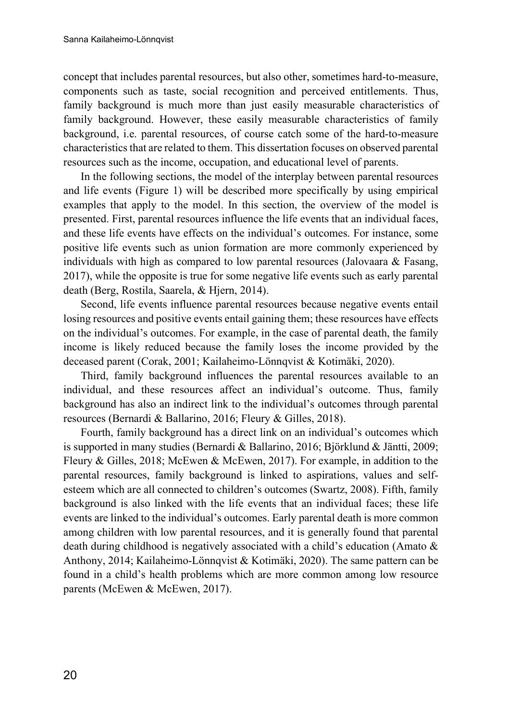concept that includes parental resources, but also other, sometimes hard-to-measure, components such as taste, social recognition and perceived entitlements. Thus, family background is much more than just easily measurable characteristics of family background. However, these easily measurable characteristics of family background, i.e. parental resources, of course catch some of the hard-to-measure characteristics that are related to them. This dissertation focuses on observed parental resources such as the income, occupation, and educational level of parents.

In the following sections, the model of the interplay between parental resources and life events (Figure 1) will be described more specifically by using empirical examples that apply to the model. In this section, the overview of the model is presented. First, parental resources influence the life events that an individual faces, and these life events have effects on the individual's outcomes. For instance, some positive life events such as union formation are more commonly experienced by individuals with high as compared to low parental resources (Jalovaara  $\&$  Fasang, 2017), while the opposite is true for some negative life events such as early parental death (Berg, Rostila, Saarela, & Hjern, 2014).

Second, life events influence parental resources because negative events entail losing resources and positive events entail gaining them; these resources have effects on the individual's outcomes. For example, in the case of parental death, the family income is likely reduced because the family loses the income provided by the deceased parent (Corak, 2001; Kailaheimo-Lönnqvist & Kotimäki, 2020).

Third, family background influences the parental resources available to an individual, and these resources affect an individual's outcome. Thus, family background has also an indirect link to the individual's outcomes through parental resources (Bernardi & Ballarino, 2016; Fleury & Gilles, 2018).

Fourth, family background has a direct link on an individual's outcomes which is supported in many studies (Bernardi & Ballarino, 2016; Björklund & Jäntti, 2009; Fleury & Gilles, 2018; McEwen & McEwen, 2017). For example, in addition to the parental resources, family background is linked to aspirations, values and selfesteem which are all connected to children's outcomes (Swartz, 2008). Fifth, family background is also linked with the life events that an individual faces; these life events are linked to the individual's outcomes. Early parental death is more common among children with low parental resources, and it is generally found that parental death during childhood is negatively associated with a child's education (Amato & Anthony, 2014; Kailaheimo-Lönnqvist & Kotimäki, 2020). The same pattern can be found in a child's health problems which are more common among low resource parents (McEwen & McEwen, 2017).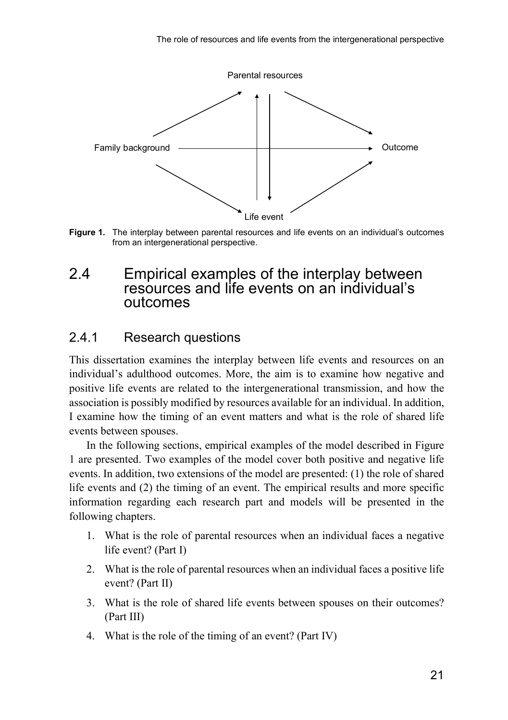

**Figure 1.** The interplay between parental resources and life events on an individual's outcomes from an intergenerational perspective.

# <span id="page-22-0"></span>2.4 Empirical examples of the interplay between resources and life events on an individual's outcomes

### <span id="page-22-1"></span>2.4.1 Research questions

This dissertation examines the interplay between life events and resources on an individual's adulthood outcomes. More, the aim is to examine how negative and positive life events are related to the intergenerational transmission, and how the association is possibly modified by resources available for an individual. In addition, I examine how the timing of an event matters and what is the role of shared life events between spouses.

In the following sections, empirical examples of the model described in Figure 1 are presented. Two examples of the model cover both positive and negative life events. In addition, two extensions of the model are presented: (1) the role of shared life events and (2) the timing of an event. The empirical results and more specific information regarding each research part and models will be presented in the following chapters.

- 1. What is the role of parental resources when an individual faces a negative life event? (Part I)
- 2. What is the role of parental resources when an individual faces a positive life event? (Part II)
- 3. What is the role of shared life events between spouses on their outcomes? (Part III)
- 4. What is the role of the timing of an event? (Part IV)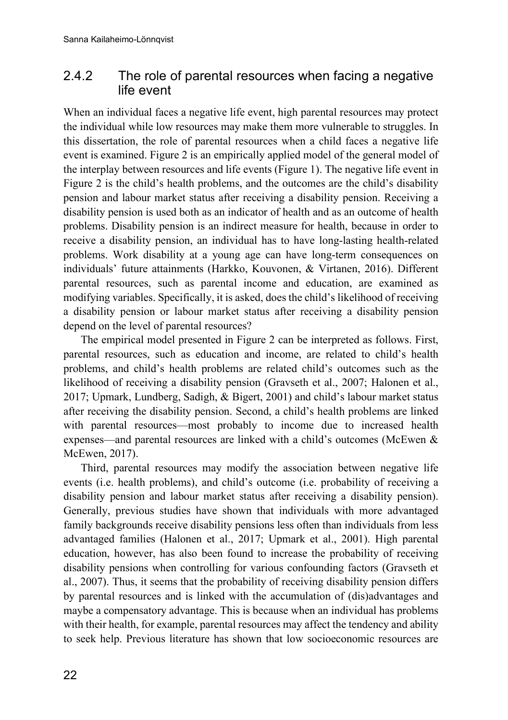### <span id="page-23-0"></span>2.4.2 The role of parental resources when facing a negative life event

When an individual faces a negative life event, high parental resources may protect the individual while low resources may make them more vulnerable to struggles. In this dissertation, the role of parental resources when a child faces a negative life event is examined. Figure 2 is an empirically applied model of the general model of the interplay between resources and life events (Figure 1). The negative life event in Figure 2 is the child's health problems, and the outcomes are the child's disability pension and labour market status after receiving a disability pension. Receiving a disability pension is used both as an indicator of health and as an outcome of health problems. Disability pension is an indirect measure for health, because in order to receive a disability pension, an individual has to have long-lasting health-related problems. Work disability at a young age can have long-term consequences on individuals' future attainments (Harkko, Kouvonen, & Virtanen, 2016). Different parental resources, such as parental income and education, are examined as modifying variables. Specifically, it is asked, does the child's likelihood of receiving a disability pension or labour market status after receiving a disability pension depend on the level of parental resources?

The empirical model presented in Figure 2 can be interpreted as follows. First, parental resources, such as education and income, are related to child's health problems, and child's health problems are related child's outcomes such as the likelihood of receiving a disability pension (Gravseth et al., 2007; Halonen et al., 2017; Upmark, Lundberg, Sadigh, & Bigert, 2001) and child's labour market status after receiving the disability pension. Second, a child's health problems are linked with parental resources—most probably to income due to increased health expenses—and parental resources are linked with a child's outcomes (McEwen & McEwen, 2017).

Third, parental resources may modify the association between negative life events (i.e. health problems), and child's outcome (i.e. probability of receiving a disability pension and labour market status after receiving a disability pension). Generally, previous studies have shown that individuals with more advantaged family backgrounds receive disability pensions less often than individuals from less advantaged families (Halonen et al., 2017; Upmark et al., 2001). High parental education, however, has also been found to increase the probability of receiving disability pensions when controlling for various confounding factors (Gravseth et al., 2007). Thus, it seems that the probability of receiving disability pension differs by parental resources and is linked with the accumulation of (dis)advantages and maybe a compensatory advantage. This is because when an individual has problems with their health, for example, parental resources may affect the tendency and ability to seek help. Previous literature has shown that low socioeconomic resources are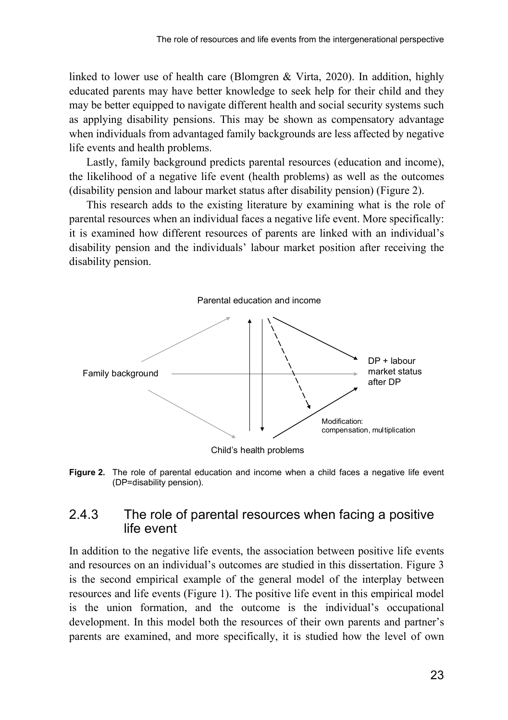linked to lower use of health care (Blomgren & Virta, 2020). In addition, highly educated parents may have better knowledge to seek help for their child and they may be better equipped to navigate different health and social security systems such as applying disability pensions. This may be shown as compensatory advantage when individuals from advantaged family backgrounds are less affected by negative life events and health problems.

Lastly, family background predicts parental resources (education and income), the likelihood of a negative life event (health problems) as well as the outcomes (disability pension and labour market status after disability pension) (Figure 2).

This research adds to the existing literature by examining what is the role of parental resources when an individual faces a negative life event. More specifically: it is examined how different resources of parents are linked with an individual's disability pension and the individuals' labour market position after receiving the disability pension.



**Figure 2.** The role of parental education and income when a child faces a negative life event (DP=disability pension).

### <span id="page-24-0"></span>2.4.3 The role of parental resources when facing a positive life event

In addition to the negative life events, the association between positive life events and resources on an individual's outcomes are studied in this dissertation. Figure 3 is the second empirical example of the general model of the interplay between resources and life events (Figure 1). The positive life event in this empirical model is the union formation, and the outcome is the individual's occupational development. In this model both the resources of their own parents and partner's parents are examined, and more specifically, it is studied how the level of own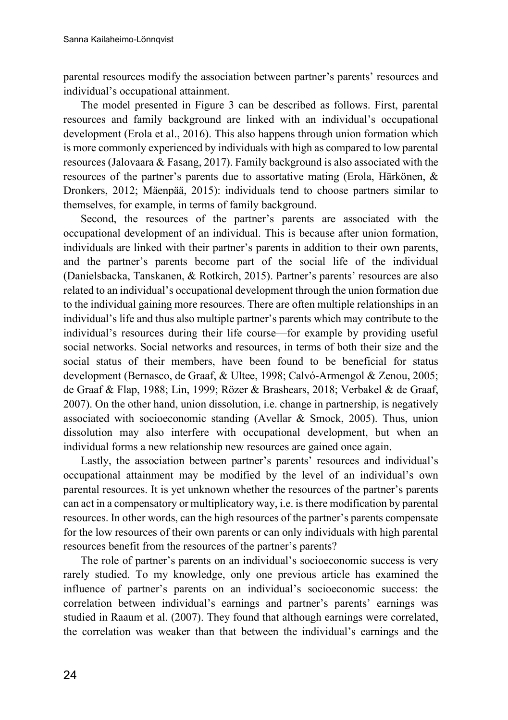parental resources modify the association between partner's parents' resources and individual's occupational attainment.

The model presented in Figure 3 can be described as follows. First, parental resources and family background are linked with an individual's occupational development (Erola et al., 2016). This also happens through union formation which is more commonly experienced by individuals with high as compared to low parental resources (Jalovaara & Fasang, 2017). Family background is also associated with the resources of the partner's parents due to assortative mating (Erola, Härkönen, & Dronkers, 2012; Mäenpää, 2015): individuals tend to choose partners similar to themselves, for example, in terms of family background.

Second, the resources of the partner's parents are associated with the occupational development of an individual. This is because after union formation, individuals are linked with their partner's parents in addition to their own parents, and the partner's parents become part of the social life of the individual (Danielsbacka, Tanskanen, & Rotkirch, 2015). Partner's parents' resources are also related to an individual's occupational development through the union formation due to the individual gaining more resources. There are often multiple relationships in an individual's life and thus also multiple partner's parents which may contribute to the individual's resources during their life course—for example by providing useful social networks. Social networks and resources, in terms of both their size and the social status of their members, have been found to be beneficial for status development (Bernasco, de Graaf, & Ultee, 1998; Calvó-Armengol & Zenou, 2005; de Graaf & Flap, 1988; Lin, 1999; Rözer & Brashears, 2018; Verbakel & de Graaf, 2007). On the other hand, union dissolution, i.e. change in partnership, is negatively associated with socioeconomic standing (Avellar & Smock, 2005). Thus, union dissolution may also interfere with occupational development, but when an individual forms a new relationship new resources are gained once again.

Lastly, the association between partner's parents' resources and individual's occupational attainment may be modified by the level of an individual's own parental resources. It is yet unknown whether the resources of the partner's parents can act in a compensatory or multiplicatory way, i.e. is there modification by parental resources. In other words, can the high resources of the partner's parents compensate for the low resources of their own parents or can only individuals with high parental resources benefit from the resources of the partner's parents?

The role of partner's parents on an individual's socioeconomic success is very rarely studied. To my knowledge, only one previous article has examined the influence of partner's parents on an individual's socioeconomic success: the correlation between individual's earnings and partner's parents' earnings was studied in Raaum et al. (2007). They found that although earnings were correlated, the correlation was weaker than that between the individual's earnings and the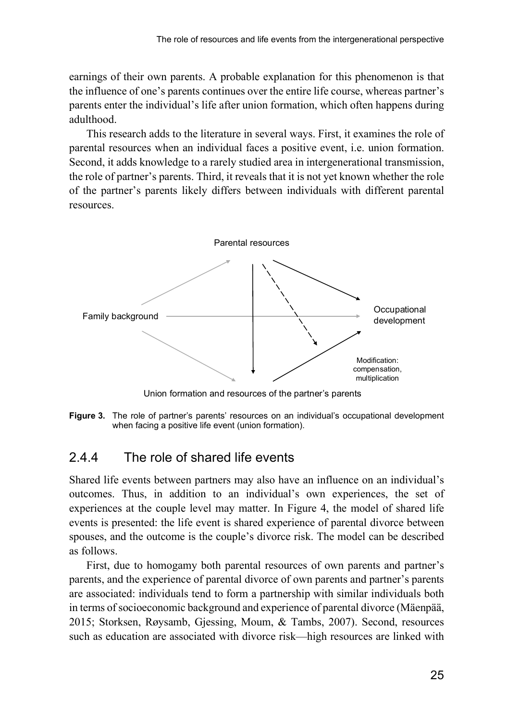earnings of their own parents. A probable explanation for this phenomenon is that the influence of one's parents continues over the entire life course, whereas partner's parents enter the individual's life after union formation, which often happens during adulthood.

This research adds to the literature in several ways. First, it examines the role of parental resources when an individual faces a positive event, i.e. union formation. Second, it adds knowledge to a rarely studied area in intergenerational transmission, the role of partner's parents. Third, it reveals that it is not yet known whether the role of the partner's parents likely differs between individuals with different parental resources.



Union formation and resources of the partner's parents

**Figure 3.** The role of partner's parents' resources on an individual's occupational development when facing a positive life event (union formation).

### <span id="page-26-0"></span>2.4.4 The role of shared life events

Shared life events between partners may also have an influence on an individual's outcomes. Thus, in addition to an individual's own experiences, the set of experiences at the couple level may matter. In Figure 4, the model of shared life events is presented: the life event is shared experience of parental divorce between spouses, and the outcome is the couple's divorce risk. The model can be described as follows.

First, due to homogamy both parental resources of own parents and partner's parents, and the experience of parental divorce of own parents and partner's parents are associated: individuals tend to form a partnership with similar individuals both in terms of socioeconomic background and experience of parental divorce (Mäenpää, 2015; Storksen, Røysamb, Gjessing, Moum, & Tambs, 2007). Second, resources such as education are associated with divorce risk—high resources are linked with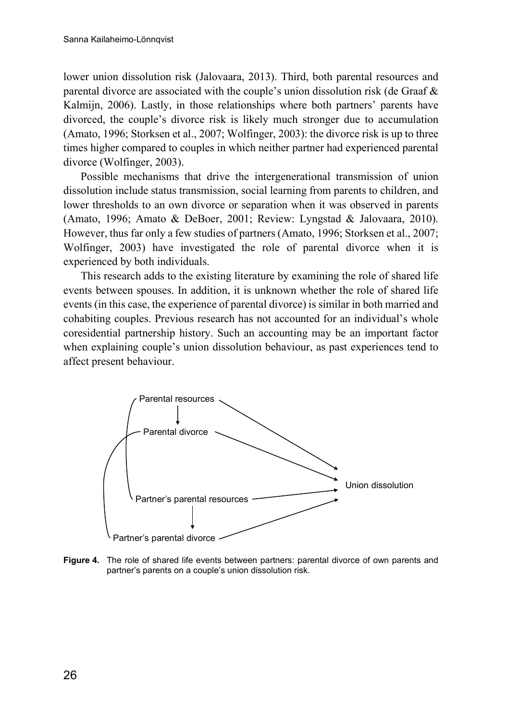lower union dissolution risk (Jalovaara, 2013). Third, both parental resources and parental divorce are associated with the couple's union dissolution risk (de Graaf & Kalmijn, 2006). Lastly, in those relationships where both partners' parents have divorced, the couple's divorce risk is likely much stronger due to accumulation (Amato, 1996; Storksen et al., 2007; Wolfinger, 2003): the divorce risk is up to three times higher compared to couples in which neither partner had experienced parental divorce (Wolfinger, 2003).

Possible mechanisms that drive the intergenerational transmission of union dissolution include status transmission, social learning from parents to children, and lower thresholds to an own divorce or separation when it was observed in parents (Amato, 1996; Amato & DeBoer, 2001; Review: Lyngstad & Jalovaara, 2010). However, thus far only a few studies of partners (Amato, 1996; Storksen et al., 2007; Wolfinger, 2003) have investigated the role of parental divorce when it is experienced by both individuals.

This research adds to the existing literature by examining the role of shared life events between spouses. In addition, it is unknown whether the role of shared life events (in this case, the experience of parental divorce) is similar in both married and cohabiting couples. Previous research has not accounted for an individual's whole coresidential partnership history. Such an accounting may be an important factor when explaining couple's union dissolution behaviour, as past experiences tend to affect present behaviour.



**Figure 4.** The role of shared life events between partners: parental divorce of own parents and partner's parents on a couple's union dissolution risk.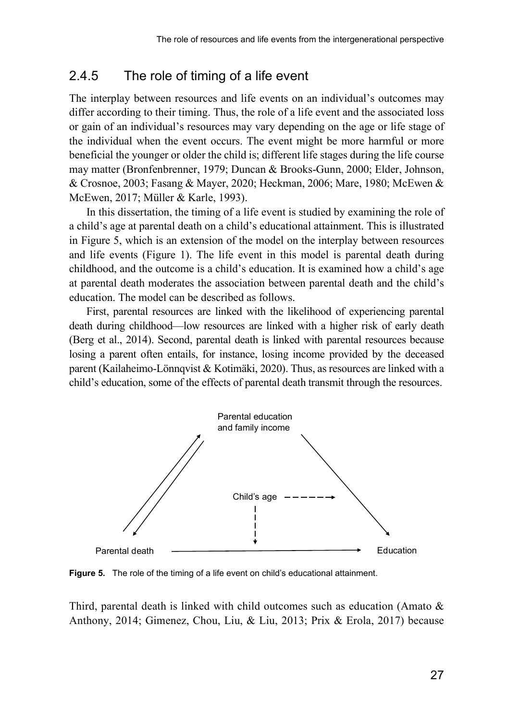### <span id="page-28-0"></span>2.4.5 The role of timing of a life event

The interplay between resources and life events on an individual's outcomes may differ according to their timing. Thus, the role of a life event and the associated loss or gain of an individual's resources may vary depending on the age or life stage of the individual when the event occurs. The event might be more harmful or more beneficial the younger or older the child is; different life stages during the life course may matter (Bronfenbrenner, 1979; Duncan & Brooks-Gunn, 2000; Elder, Johnson, & Crosnoe, 2003; Fasang & Mayer, 2020; Heckman, 2006; Mare, 1980; McEwen & McEwen, 2017; Müller & Karle, 1993).

In this dissertation, the timing of a life event is studied by examining the role of a child's age at parental death on a child's educational attainment. This is illustrated in Figure 5, which is an extension of the model on the interplay between resources and life events (Figure 1). The life event in this model is parental death during childhood, and the outcome is a child's education. It is examined how a child's age at parental death moderates the association between parental death and the child's education. The model can be described as follows.

First, parental resources are linked with the likelihood of experiencing parental death during childhood—low resources are linked with a higher risk of early death (Berg et al., 2014). Second, parental death is linked with parental resources because losing a parent often entails, for instance, losing income provided by the deceased parent (Kailaheimo-Lönnqvist & Kotimäki, 2020). Thus, as resources are linked with a child's education, some of the effects of parental death transmit through the resources.



**Figure 5.** The role of the timing of a life event on child's educational attainment.

Third, parental death is linked with child outcomes such as education (Amato & Anthony, 2014; Gimenez, Chou, Liu, & Liu, 2013; Prix & Erola, 2017) because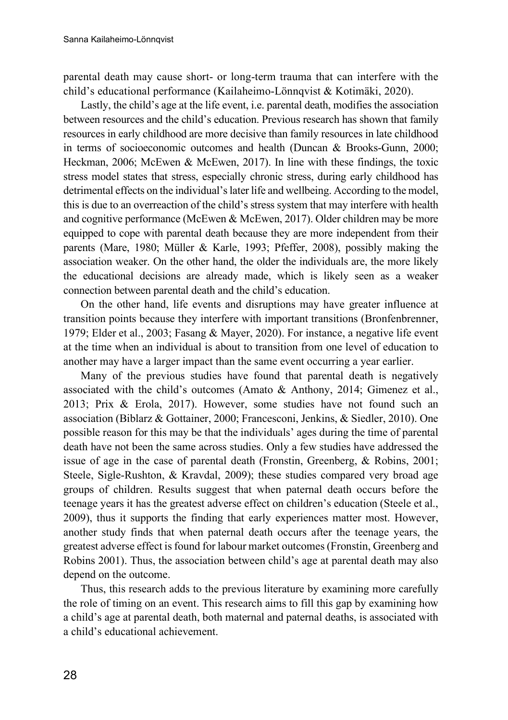parental death may cause short- or long-term trauma that can interfere with the child's educational performance (Kailaheimo-Lönnqvist & Kotimäki, 2020).

Lastly, the child's age at the life event, i.e. parental death, modifies the association between resources and the child's education. Previous research has shown that family resources in early childhood are more decisive than family resources in late childhood in terms of socioeconomic outcomes and health (Duncan & Brooks-Gunn, 2000; Heckman, 2006; McEwen & McEwen, 2017). In line with these findings, the toxic stress model states that stress, especially chronic stress, during early childhood has detrimental effects on the individual's later life and wellbeing. According to the model, this is due to an overreaction of the child's stress system that may interfere with health and cognitive performance (McEwen & McEwen, 2017). Older children may be more equipped to cope with parental death because they are more independent from their parents (Mare, 1980; Müller & Karle, 1993; Pfeffer, 2008), possibly making the association weaker. On the other hand, the older the individuals are, the more likely the educational decisions are already made, which is likely seen as a weaker connection between parental death and the child's education.

On the other hand, life events and disruptions may have greater influence at transition points because they interfere with important transitions (Bronfenbrenner, 1979; Elder et al., 2003; Fasang & Mayer, 2020). For instance, a negative life event at the time when an individual is about to transition from one level of education to another may have a larger impact than the same event occurring a year earlier.

Many of the previous studies have found that parental death is negatively associated with the child's outcomes (Amato & Anthony, 2014; Gimenez et al., 2013; Prix & Erola, 2017). However, some studies have not found such an association (Biblarz & Gottainer, 2000; Francesconi, Jenkins, & Siedler, 2010). One possible reason for this may be that the individuals' ages during the time of parental death have not been the same across studies. Only a few studies have addressed the issue of age in the case of parental death (Fronstin, Greenberg, & Robins, 2001; Steele, Sigle-Rushton, & Kravdal, 2009); these studies compared very broad age groups of children. Results suggest that when paternal death occurs before the teenage years it has the greatest adverse effect on children's education (Steele et al., 2009), thus it supports the finding that early experiences matter most. However, another study finds that when paternal death occurs after the teenage years, the greatest adverse effect is found for labour market outcomes (Fronstin, Greenberg and Robins 2001). Thus, the association between child's age at parental death may also depend on the outcome.

Thus, this research adds to the previous literature by examining more carefully the role of timing on an event. This research aims to fill this gap by examining how a child's age at parental death, both maternal and paternal deaths, is associated with a child's educational achievement.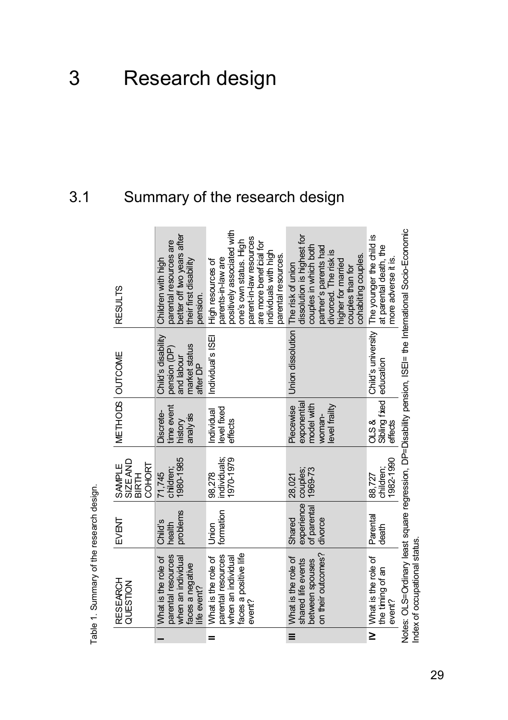# <span id="page-30-1"></span><span id="page-30-0"></span>3.1 Summary of the research design

|          | RESEARCH<br>QUESTION                                                                               | <b>EVENT</b>                                   | <b>SIZE AND</b><br>COHORT<br>SAMPLE<br>BIRTH | METHODS OUTCOME                                                   |                                                                               | <b>RESULTS</b>                                                                                                                                                                                        |
|----------|----------------------------------------------------------------------------------------------------|------------------------------------------------|----------------------------------------------|-------------------------------------------------------------------|-------------------------------------------------------------------------------|-------------------------------------------------------------------------------------------------------------------------------------------------------------------------------------------------------|
|          | parental resources<br>What is the role of<br>when an individual<br>faces a negative<br>life event? | problems<br>Child's<br>health                  | 1980-1985<br>children;<br>71,745             | time event<br>Discrete-<br>analy ss<br>history                    | Child's disability<br>market status<br>pension (DP)<br>and labour<br>after DP | better off two years after<br>parental resources are<br>Children with high<br>their first disability<br>pension.                                                                                      |
| =        | faces a positive life<br>parental resources<br>What is the role of<br>when an individual<br>event? | formation<br>Union                             | individuals;<br>1970-1979<br>98,278          | evel fixed<br>Individual<br>effects                               | Individual's ISEI                                                             | positively associated with<br>parent-in-law resources<br>one's own status. High<br>are more beneficial for<br>individuals with high<br>parental resources.<br>parents-in-law are<br>High resources of |
| $\equiv$ | on their outcomes?<br>What is the role of<br>shared life events<br>between spouses                 | experience<br>of parental<br>Shared<br>divorce | 1969-73<br>couples;<br>28,021                | exponential<br>model with<br>level frailty<br>Piecewise<br>woman- | Union dissolution                                                             | dissolution is highest for<br>couples in which both<br>partner's parents had<br>divorced. The risk is<br>cohabiting couples.<br>higher for married<br>The risk of union<br>couples than for           |
| $\geq$   | What is the role of<br>the timing of an<br>event?                                                  | Parental<br>death                              | 1982-1990<br>children;<br>88,727             | Sibling fixed<br>0LS &<br>effects                                 | Child's university<br>education                                               | The younger the child is<br>at parental death, the<br>more adverse it is.                                                                                                                             |
|          | Index of occupational status                                                                       |                                                |                                              |                                                                   |                                                                               | Notes: OLS=Ordinary least square regression, DP=Disability pension, ISEI= the International Socio-Economic                                                                                            |

Table 1. Summary of the research design. Table 1. Summary of the research design.

29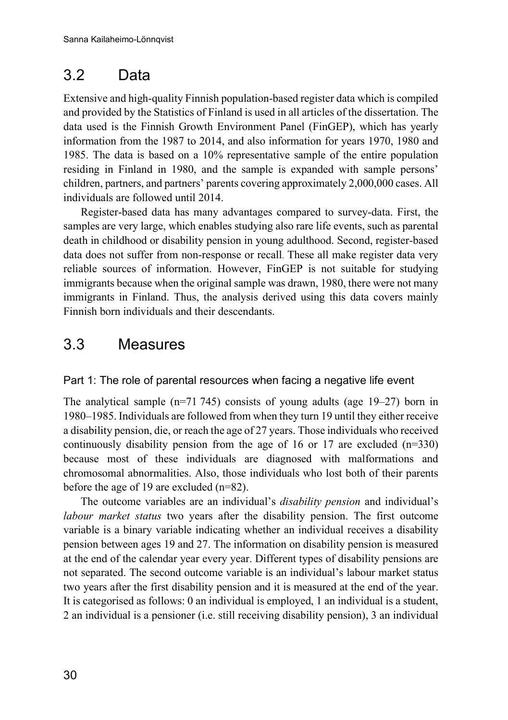# <span id="page-31-0"></span>3.2 Data

Extensive and high-quality Finnish population-based register data which is compiled and provided by the Statistics of Finland is used in all articles of the dissertation. The data used is the Finnish Growth Environment Panel (FinGEP), which has yearly information from the 1987 to 2014, and also information for years 1970, 1980 and 1985. The data is based on a 10% representative sample of the entire population residing in Finland in 1980, and the sample is expanded with sample persons' children, partners, and partners' parents covering approximately 2,000,000 cases. All individuals are followed until 2014.

Register-based data has many advantages compared to survey-data. First, the samples are very large, which enables studying also rare life events, such as parental death in childhood or disability pension in young adulthood. Second, register-based data does not suffer from non-response or recall. These all make register data very reliable sources of information. However, FinGEP is not suitable for studying immigrants because when the original sample was drawn, 1980, there were not many immigrants in Finland. Thus, the analysis derived using this data covers mainly Finnish born individuals and their descendants.

# <span id="page-31-1"></span>3.3 Measures

#### Part 1: The role of parental resources when facing a negative life event

The analytical sample (n=71 745) consists of young adults (age 19–27) born in 1980–1985. Individuals are followed from when they turn 19 until they either receive a disability pension, die, or reach the age of 27 years. Those individuals who received continuously disability pension from the age of 16 or 17 are excluded  $(n=330)$ because most of these individuals are diagnosed with malformations and chromosomal abnormalities. Also, those individuals who lost both of their parents before the age of 19 are excluded (n=82).

The outcome variables are an individual's *disability pension* and individual's *labour market status* two years after the disability pension. The first outcome variable is a binary variable indicating whether an individual receives a disability pension between ages 19 and 27. The information on disability pension is measured at the end of the calendar year every year. Different types of disability pensions are not separated. The second outcome variable is an individual's labour market status two years after the first disability pension and it is measured at the end of the year. It is categorised as follows: 0 an individual is employed, 1 an individual is a student, 2 an individual is a pensioner (i.e. still receiving disability pension), 3 an individual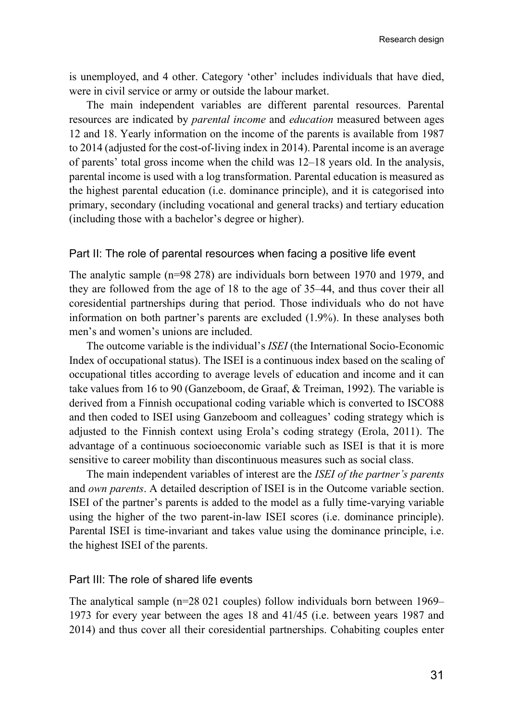is unemployed, and 4 other. Category 'other' includes individuals that have died, were in civil service or army or outside the labour market.

The main independent variables are different parental resources. Parental resources are indicated by *parental income* and *education* measured between ages 12 and 18. Yearly information on the income of the parents is available from 1987 to 2014 (adjusted for the cost-of-living index in 2014). Parental income is an average of parents' total gross income when the child was 12–18 years old. In the analysis, parental income is used with a log transformation. Parental education is measured as the highest parental education (i.e. dominance principle), and it is categorised into primary, secondary (including vocational and general tracks) and tertiary education (including those with a bachelor's degree or higher).

#### Part II: The role of parental resources when facing a positive life event

The analytic sample (n=98 278) are individuals born between 1970 and 1979, and they are followed from the age of 18 to the age of 35–44, and thus cover their all coresidential partnerships during that period. Those individuals who do not have information on both partner's parents are excluded (1.9%). In these analyses both men's and women's unions are included.

The outcome variable is the individual's *ISEI* (the International Socio-Economic Index of occupational status). The ISEI is a continuous index based on the scaling of occupational titles according to average levels of education and income and it can take values from 16 to 90 (Ganzeboom, de Graaf, & Treiman, 1992). The variable is derived from a Finnish occupational coding variable which is converted to ISCO88 and then coded to ISEI using Ganzeboom and colleagues' coding strategy which is adjusted to the Finnish context using Erola's coding strategy (Erola, 2011). The advantage of a continuous socioeconomic variable such as ISEI is that it is more sensitive to career mobility than discontinuous measures such as social class.

The main independent variables of interest are the *ISEI of the partner's parents*  and *own parents*. A detailed description of ISEI is in the Outcome variable section. ISEI of the partner's parents is added to the model as a fully time-varying variable using the higher of the two parent-in-law ISEI scores (i.e. dominance principle). Parental ISEI is time-invariant and takes value using the dominance principle, i.e. the highest ISEI of the parents.

#### Part III: The role of shared life events

The analytical sample (n=28 021 couples) follow individuals born between 1969– 1973 for every year between the ages 18 and 41/45 (i.e. between years 1987 and 2014) and thus cover all their coresidential partnerships. Cohabiting couples enter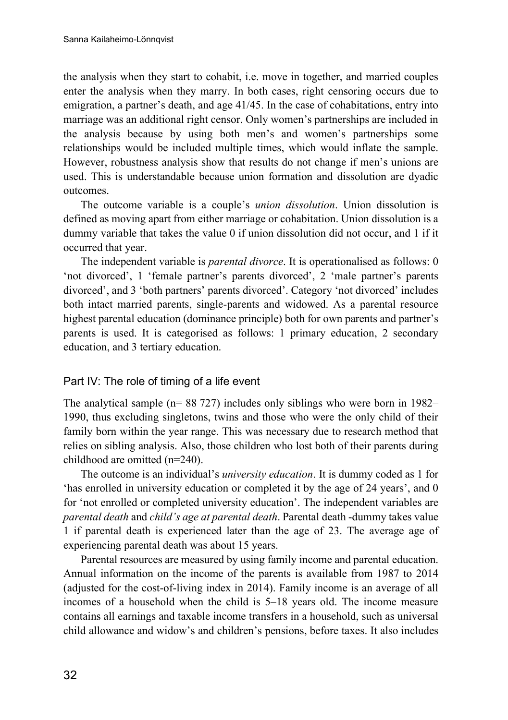the analysis when they start to cohabit, i.e. move in together, and married couples enter the analysis when they marry. In both cases, right censoring occurs due to emigration, a partner's death, and age 41/45. In the case of cohabitations, entry into marriage was an additional right censor. Only women's partnerships are included in the analysis because by using both men's and women's partnerships some relationships would be included multiple times, which would inflate the sample. However, robustness analysis show that results do not change if men's unions are used. This is understandable because union formation and dissolution are dyadic outcomes.

The outcome variable is a couple's *union dissolution*. Union dissolution is defined as moving apart from either marriage or cohabitation. Union dissolution is a dummy variable that takes the value 0 if union dissolution did not occur, and 1 if it occurred that year.

The independent variable is *parental divorce*. It is operationalised as follows: 0 'not divorced', 1 'female partner's parents divorced', 2 'male partner's parents divorced', and 3 'both partners' parents divorced'. Category 'not divorced' includes both intact married parents, single-parents and widowed. As a parental resource highest parental education (dominance principle) both for own parents and partner's parents is used. It is categorised as follows: 1 primary education, 2 secondary education, and 3 tertiary education.

#### Part IV: The role of timing of a life event

The analytical sample (n= 88 727) includes only siblings who were born in 1982– 1990, thus excluding singletons, twins and those who were the only child of their family born within the year range. This was necessary due to research method that relies on sibling analysis. Also, those children who lost both of their parents during childhood are omitted (n=240).

The outcome is an individual's *university education*. It is dummy coded as 1 for 'has enrolled in university education or completed it by the age of 24 years', and 0 for 'not enrolled or completed university education'. The independent variables are *parental death* and *child's age at parental death*. Parental death -dummy takes value 1 if parental death is experienced later than the age of 23. The average age of experiencing parental death was about 15 years.

Parental resources are measured by using family income and parental education. Annual information on the income of the parents is available from 1987 to 2014 (adjusted for the cost-of-living index in 2014). Family income is an average of all incomes of a household when the child is 5–18 years old. The income measure contains all earnings and taxable income transfers in a household, such as universal child allowance and widow's and children's pensions, before taxes. It also includes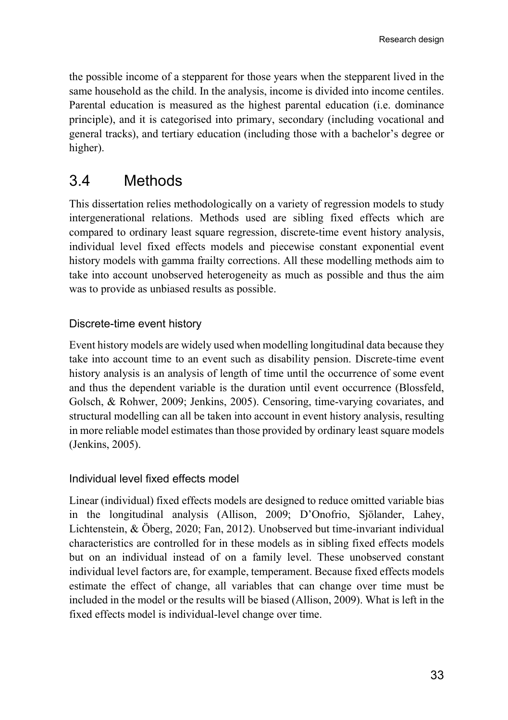the possible income of a stepparent for those years when the stepparent lived in the same household as the child. In the analysis, income is divided into income centiles. Parental education is measured as the highest parental education (i.e. dominance principle), and it is categorised into primary, secondary (including vocational and general tracks), and tertiary education (including those with a bachelor's degree or higher).

# <span id="page-34-0"></span>3.4 Methods

This dissertation relies methodologically on a variety of regression models to study intergenerational relations. Methods used are sibling fixed effects which are compared to ordinary least square regression, discrete-time event history analysis, individual level fixed effects models and piecewise constant exponential event history models with gamma frailty corrections. All these modelling methods aim to take into account unobserved heterogeneity as much as possible and thus the aim was to provide as unbiased results as possible.

#### Discrete-time event history

Event history models are widely used when modelling longitudinal data because they take into account time to an event such as disability pension. Discrete-time event history analysis is an analysis of length of time until the occurrence of some event and thus the dependent variable is the duration until event occurrence (Blossfeld, Golsch, & Rohwer, 2009; Jenkins, 2005). Censoring, time-varying covariates, and structural modelling can all be taken into account in event history analysis, resulting in more reliable model estimates than those provided by ordinary least square models (Jenkins, 2005).

#### Individual level fixed effects model

Linear (individual) fixed effects models are designed to reduce omitted variable bias in the longitudinal analysis (Allison, 2009; D'Onofrio, Sjölander, Lahey, Lichtenstein, & Öberg, 2020; Fan, 2012). Unobserved but time-invariant individual characteristics are controlled for in these models as in sibling fixed effects models but on an individual instead of on a family level. These unobserved constant individual level factors are, for example, temperament. Because fixed effects models estimate the effect of change, all variables that can change over time must be included in the model or the results will be biased (Allison, 2009). What is left in the fixed effects model is individual-level change over time.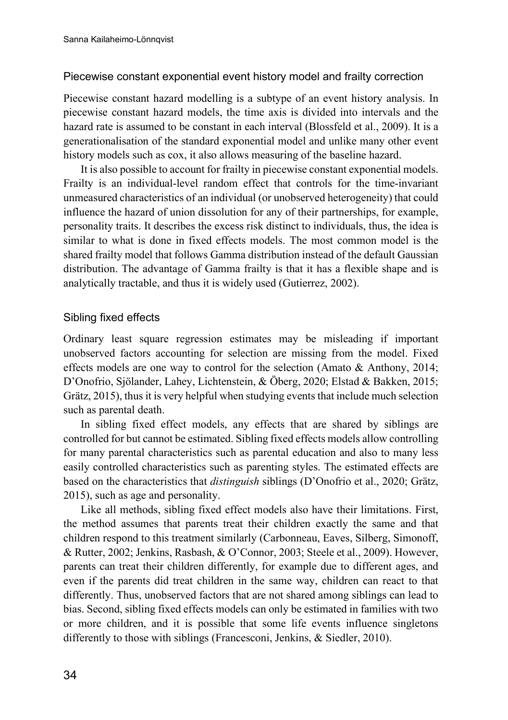#### Piecewise constant exponential event history model and frailty correction

Piecewise constant hazard modelling is a subtype of an event history analysis. In piecewise constant hazard models, the time axis is divided into intervals and the hazard rate is assumed to be constant in each interval (Blossfeld et al., 2009). It is a generationalisation of the standard exponential model and unlike many other event history models such as cox, it also allows measuring of the baseline hazard.

It is also possible to account for frailty in piecewise constant exponential models. Frailty is an individual-level random effect that controls for the time-invariant unmeasured characteristics of an individual (or unobserved heterogeneity) that could influence the hazard of union dissolution for any of their partnerships, for example, personality traits. It describes the excess risk distinct to individuals, thus, the idea is similar to what is done in fixed effects models. The most common model is the shared frailty model that follows Gamma distribution instead of the default Gaussian distribution. The advantage of Gamma frailty is that it has a flexible shape and is analytically tractable, and thus it is widely used (Gutierrez, 2002).

#### Sibling fixed effects

Ordinary least square regression estimates may be misleading if important unobserved factors accounting for selection are missing from the model. Fixed effects models are one way to control for the selection (Amato & Anthony, 2014; D'Onofrio, Sjölander, Lahey, Lichtenstein, & Öberg, 2020; Elstad & Bakken, 2015; Grätz, 2015), thus it is very helpful when studying events that include much selection such as parental death.

In sibling fixed effect models, any effects that are shared by siblings are controlled for but cannot be estimated. Sibling fixed effects models allow controlling for many parental characteristics such as parental education and also to many less easily controlled characteristics such as parenting styles. The estimated effects are based on the characteristics that *distinguish* siblings (D'Onofrio et al., 2020; Grätz, 2015), such as age and personality.

Like all methods, sibling fixed effect models also have their limitations. First, the method assumes that parents treat their children exactly the same and that children respond to this treatment similarly (Carbonneau, Eaves, Silberg, Simonoff, & Rutter, 2002; Jenkins, Rasbash, & O'Connor, 2003; Steele et al., 2009). However, parents can treat their children differently, for example due to different ages, and even if the parents did treat children in the same way, children can react to that differently. Thus, unobserved factors that are not shared among siblings can lead to bias. Second, sibling fixed effects models can only be estimated in families with two or more children, and it is possible that some life events influence singletons differently to those with siblings (Francesconi, Jenkins, & Siedler, 2010).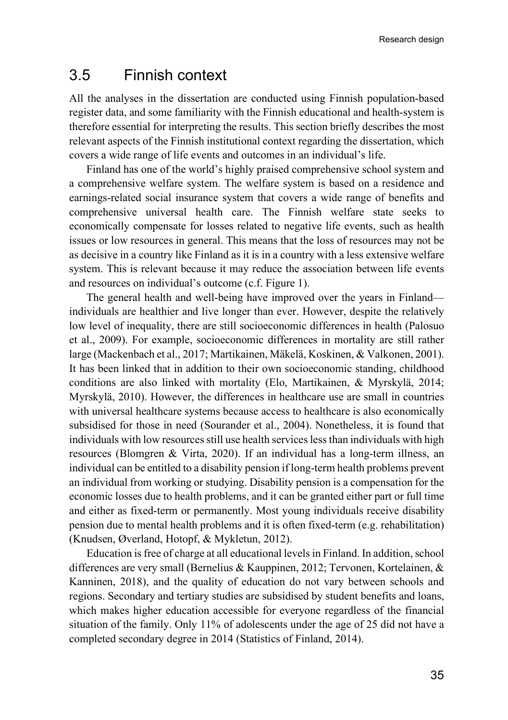# <span id="page-36-0"></span>3.5 Finnish context

All the analyses in the dissertation are conducted using Finnish population-based register data, and some familiarity with the Finnish educational and health-system is therefore essential for interpreting the results. This section briefly describes the most relevant aspects of the Finnish institutional context regarding the dissertation, which covers a wide range of life events and outcomes in an individual's life.

Finland has one of the world's highly praised comprehensive school system and a comprehensive welfare system. The welfare system is based on a residence and earnings-related social insurance system that covers a wide range of benefits and comprehensive universal health care. The Finnish welfare state seeks to economically compensate for losses related to negative life events, such as health issues or low resources in general. This means that the loss of resources may not be as decisive in a country like Finland as it is in a country with a less extensive welfare system. This is relevant because it may reduce the association between life events and resources on individual's outcome (c.f. Figure 1).

The general health and well-being have improved over the years in Finland individuals are healthier and live longer than ever. However, despite the relatively low level of inequality, there are still socioeconomic differences in health (Palosuo et al., 2009). For example, socioeconomic differences in mortality are still rather large (Mackenbach et al., 2017; Martikainen, Mäkelä, Koskinen, & Valkonen, 2001). It has been linked that in addition to their own socioeconomic standing, childhood conditions are also linked with mortality (Elo, Martikainen, & Myrskylä, 2014; Myrskylä, 2010). However, the differences in healthcare use are small in countries with universal healthcare systems because access to healthcare is also economically subsidised for those in need (Sourander et al., 2004). Nonetheless, it is found that individuals with low resources still use health services lessthan individuals with high resources (Blomgren & Virta, 2020). If an individual has a long-term illness, an individual can be entitled to a disability pension if long-term health problems prevent an individual from working or studying. Disability pension is a compensation for the economic losses due to health problems, and it can be granted either part or full time and either as fixed-term or permanently. Most young individuals receive disability pension due to mental health problems and it is often fixed-term (e.g. rehabilitation) (Knudsen, Øverland, Hotopf, & Mykletun, 2012).

Education is free of charge at all educational levels in Finland. In addition, school differences are very small (Bernelius & Kauppinen, 2012; Tervonen, Kortelainen, & Kanninen, 2018), and the quality of education do not vary between schools and regions. Secondary and tertiary studies are subsidised by student benefits and loans, which makes higher education accessible for everyone regardless of the financial situation of the family. Only 11% of adolescents under the age of 25 did not have a completed secondary degree in 2014 (Statistics of Finland, 2014).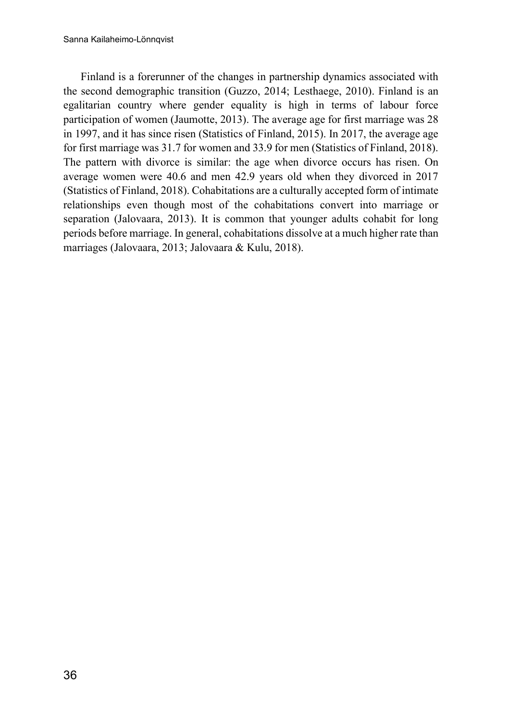Finland is a forerunner of the changes in partnership dynamics associated with the second demographic transition (Guzzo, 2014; Lesthaege, 2010). Finland is an egalitarian country where gender equality is high in terms of labour force participation of women (Jaumotte, 2013). The average age for first marriage was 28 in 1997, and it has since risen (Statistics of Finland, 2015). In 2017, the average age for first marriage was 31.7 for women and 33.9 for men (Statistics of Finland, 2018). The pattern with divorce is similar: the age when divorce occurs has risen. On average women were 40.6 and men 42.9 years old when they divorced in 2017 (Statistics of Finland, 2018). Cohabitations are a culturally accepted form of intimate relationships even though most of the cohabitations convert into marriage or separation (Jalovaara, 2013). It is common that younger adults cohabit for long periods before marriage. In general, cohabitations dissolve at a much higher rate than marriages (Jalovaara, 2013; Jalovaara & Kulu, 2018).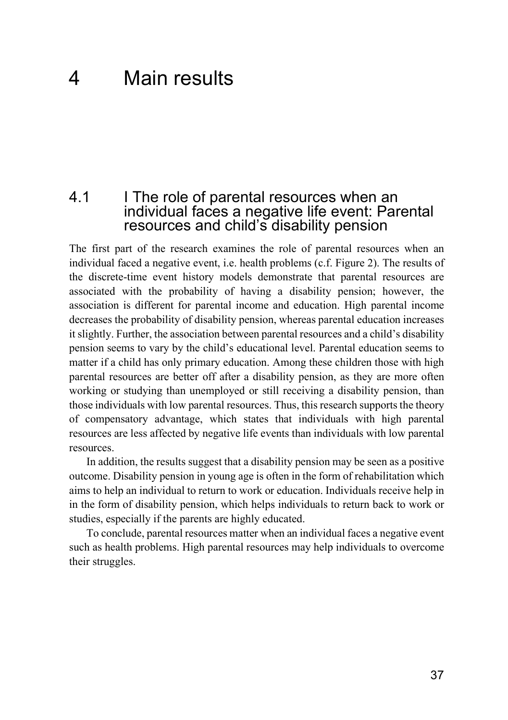# <span id="page-38-0"></span>4 Main results

### <span id="page-38-1"></span>4.1 I The role of parental resources when an individual faces a negative life event: Parental resources and child's disability pension

The first part of the research examines the role of parental resources when an individual faced a negative event, i.e. health problems (c.f. Figure 2). The results of the discrete-time event history models demonstrate that parental resources are associated with the probability of having a disability pension; however, the association is different for parental income and education. High parental income decreases the probability of disability pension, whereas parental education increases it slightly. Further, the association between parental resources and a child's disability pension seems to vary by the child's educational level. Parental education seems to matter if a child has only primary education. Among these children those with high parental resources are better off after a disability pension, as they are more often working or studying than unemployed or still receiving a disability pension, than those individuals with low parental resources. Thus, this research supports the theory of compensatory advantage, which states that individuals with high parental resources are less affected by negative life events than individuals with low parental resources.

In addition, the results suggest that a disability pension may be seen as a positive outcome. Disability pension in young age is often in the form of rehabilitation which aims to help an individual to return to work or education. Individuals receive help in in the form of disability pension, which helps individuals to return back to work or studies, especially if the parents are highly educated.

To conclude, parental resources matter when an individual faces a negative event such as health problems. High parental resources may help individuals to overcome their struggles.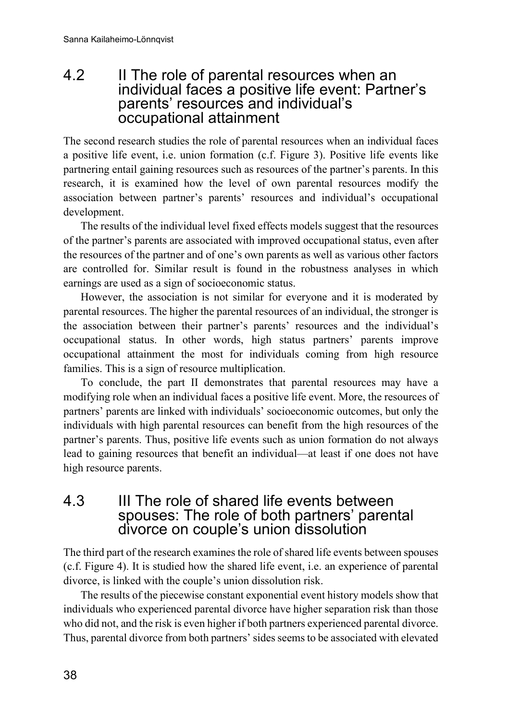### <span id="page-39-0"></span>4.2 II The role of parental resources when an individual faces a positive life event: Partner's parents' resources and individual's occupational attainment

The second research studies the role of parental resources when an individual faces a positive life event, i.e. union formation (c.f. Figure 3). Positive life events like partnering entail gaining resources such as resources of the partner's parents. In this research, it is examined how the level of own parental resources modify the association between partner's parents' resources and individual's occupational development.

The results of the individual level fixed effects models suggest that the resources of the partner's parents are associated with improved occupational status, even after the resources of the partner and of one's own parents as well as various other factors are controlled for. Similar result is found in the robustness analyses in which earnings are used as a sign of socioeconomic status.

However, the association is not similar for everyone and it is moderated by parental resources. The higher the parental resources of an individual, the stronger is the association between their partner's parents' resources and the individual's occupational status. In other words, high status partners' parents improve occupational attainment the most for individuals coming from high resource families. This is a sign of resource multiplication.

To conclude, the part II demonstrates that parental resources may have a modifying role when an individual faces a positive life event. More, the resources of partners' parents are linked with individuals' socioeconomic outcomes, but only the individuals with high parental resources can benefit from the high resources of the partner's parents. Thus, positive life events such as union formation do not always lead to gaining resources that benefit an individual—at least if one does not have high resource parents.

<span id="page-39-1"></span>4.3 III The role of shared life events between spouses: The role of both partners' parental divorce on couple's union dissolution

The third part of the research examines the role of shared life events between spouses (c.f. Figure 4). It is studied how the shared life event, i.e. an experience of parental divorce, is linked with the couple's union dissolution risk.

The results of the piecewise constant exponential event history models show that individuals who experienced parental divorce have higher separation risk than those who did not, and the risk is even higher if both partners experienced parental divorce. Thus, parental divorce from both partners' sides seems to be associated with elevated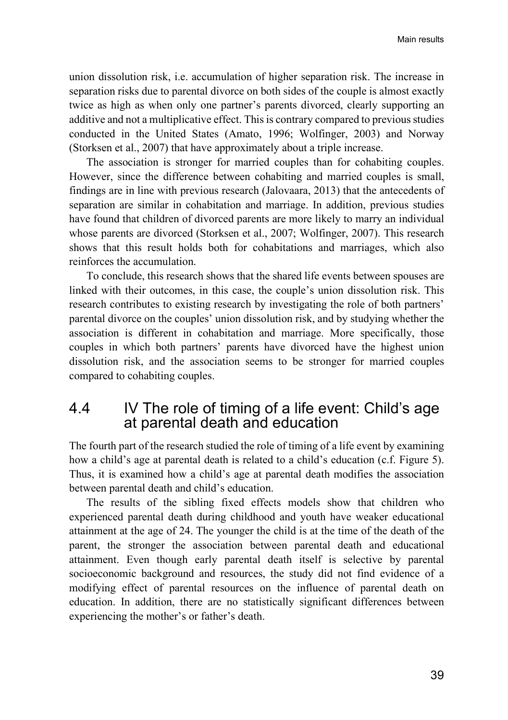union dissolution risk, i.e. accumulation of higher separation risk. The increase in separation risks due to parental divorce on both sides of the couple is almost exactly twice as high as when only one partner's parents divorced, clearly supporting an additive and not a multiplicative effect. This is contrary compared to previous studies conducted in the United States (Amato, 1996; Wolfinger, 2003) and Norway (Storksen et al., 2007) that have approximately about a triple increase.

The association is stronger for married couples than for cohabiting couples. However, since the difference between cohabiting and married couples is small, findings are in line with previous research (Jalovaara, 2013) that the antecedents of separation are similar in cohabitation and marriage. In addition, previous studies have found that children of divorced parents are more likely to marry an individual whose parents are divorced (Storksen et al., 2007; Wolfinger, 2007). This research shows that this result holds both for cohabitations and marriages, which also reinforces the accumulation.

To conclude, this research shows that the shared life events between spouses are linked with their outcomes, in this case, the couple's union dissolution risk. This research contributes to existing research by investigating the role of both partners' parental divorce on the couples' union dissolution risk, and by studying whether the association is different in cohabitation and marriage. More specifically, those couples in which both partners' parents have divorced have the highest union dissolution risk, and the association seems to be stronger for married couples compared to cohabiting couples.

# <span id="page-40-0"></span>4.4 IV The role of timing of a life event: Child's age at parental death and education

The fourth part of the research studied the role of timing of a life event by examining how a child's age at parental death is related to a child's education (c.f. Figure 5). Thus, it is examined how a child's age at parental death modifies the association between parental death and child's education.

The results of the sibling fixed effects models show that children who experienced parental death during childhood and youth have weaker educational attainment at the age of 24. The younger the child is at the time of the death of the parent, the stronger the association between parental death and educational attainment. Even though early parental death itself is selective by parental socioeconomic background and resources, the study did not find evidence of a modifying effect of parental resources on the influence of parental death on education. In addition, there are no statistically significant differences between experiencing the mother's or father's death.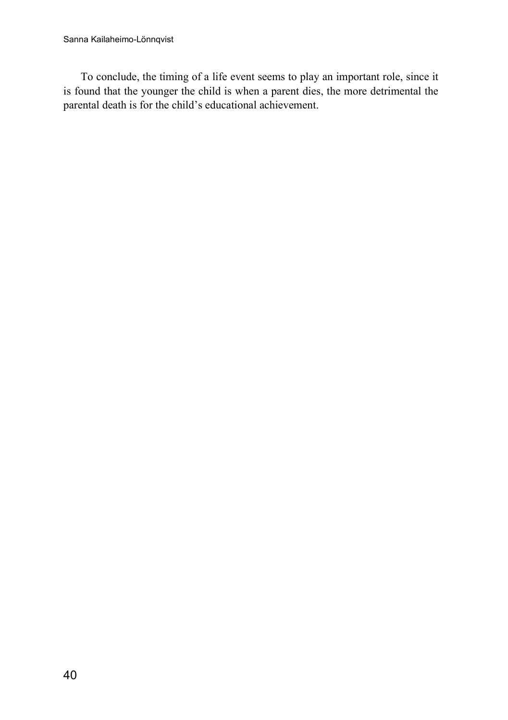To conclude, the timing of a life event seems to play an important role, since it is found that the younger the child is when a parent dies, the more detrimental the parental death is for the child's educational achievement.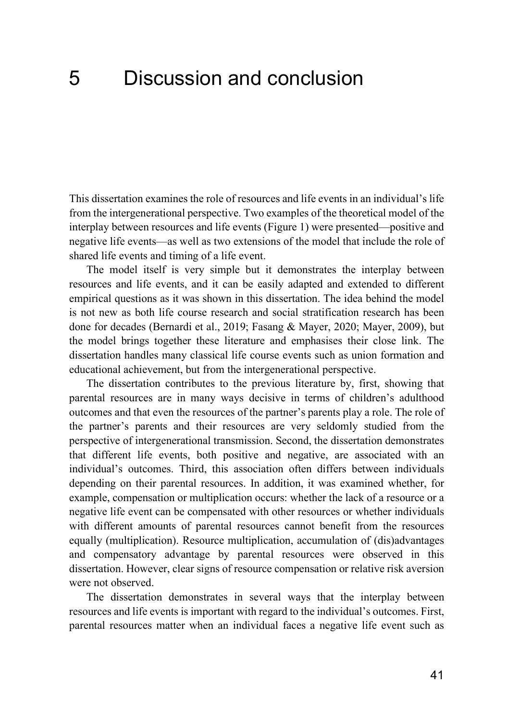# <span id="page-42-0"></span>5 Discussion and conclusion

This dissertation examines the role of resources and life events in an individual's life from the intergenerational perspective. Two examples of the theoretical model of the interplay between resources and life events (Figure 1) were presented—positive and negative life events—as well as two extensions of the model that include the role of shared life events and timing of a life event.

The model itself is very simple but it demonstrates the interplay between resources and life events, and it can be easily adapted and extended to different empirical questions as it was shown in this dissertation. The idea behind the model is not new as both life course research and social stratification research has been done for decades (Bernardi et al., 2019; Fasang & Mayer, 2020; Mayer, 2009), but the model brings together these literature and emphasises their close link. The dissertation handles many classical life course events such as union formation and educational achievement, but from the intergenerational perspective.

The dissertation contributes to the previous literature by, first, showing that parental resources are in many ways decisive in terms of children's adulthood outcomes and that even the resources of the partner's parents play a role. The role of the partner's parents and their resources are very seldomly studied from the perspective of intergenerational transmission. Second, the dissertation demonstrates that different life events, both positive and negative, are associated with an individual's outcomes. Third, this association often differs between individuals depending on their parental resources. In addition, it was examined whether, for example, compensation or multiplication occurs: whether the lack of a resource or a negative life event can be compensated with other resources or whether individuals with different amounts of parental resources cannot benefit from the resources equally (multiplication). Resource multiplication, accumulation of (dis)advantages and compensatory advantage by parental resources were observed in this dissertation. However, clear signs of resource compensation or relative risk aversion were not observed.

The dissertation demonstrates in several ways that the interplay between resources and life events is important with regard to the individual's outcomes. First, parental resources matter when an individual faces a negative life event such as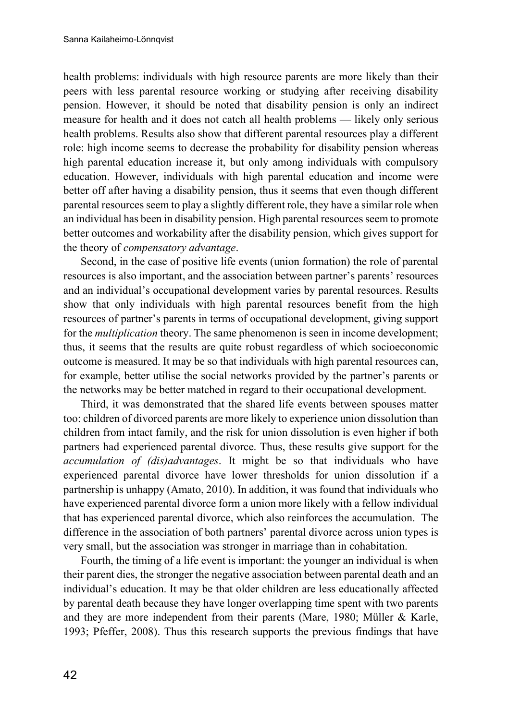health problems: individuals with high resource parents are more likely than their peers with less parental resource working or studying after receiving disability pension. However, it should be noted that disability pension is only an indirect measure for health and it does not catch all health problems — likely only serious health problems. Results also show that different parental resources play a different role: high income seems to decrease the probability for disability pension whereas high parental education increase it, but only among individuals with compulsory education. However, individuals with high parental education and income were better off after having a disability pension, thus it seems that even though different parental resources seem to play a slightly different role, they have a similar role when an individual has been in disability pension. High parental resources seem to promote better outcomes and workability after the disability pension, which gives support for the theory of *compensatory advantage*.

Second, in the case of positive life events (union formation) the role of parental resources is also important, and the association between partner's parents' resources and an individual's occupational development varies by parental resources. Results show that only individuals with high parental resources benefit from the high resources of partner's parents in terms of occupational development, giving support for the *multiplication* theory. The same phenomenon is seen in income development; thus, it seems that the results are quite robust regardless of which socioeconomic outcome is measured. It may be so that individuals with high parental resources can, for example, better utilise the social networks provided by the partner's parents or the networks may be better matched in regard to their occupational development.

Third, it was demonstrated that the shared life events between spouses matter too: children of divorced parents are more likely to experience union dissolution than children from intact family, and the risk for union dissolution is even higher if both partners had experienced parental divorce. Thus, these results give support for the *accumulation of (dis)advantages*. It might be so that individuals who have experienced parental divorce have lower thresholds for union dissolution if a partnership is unhappy (Amato, 2010). In addition, it was found that individuals who have experienced parental divorce form a union more likely with a fellow individual that has experienced parental divorce, which also reinforces the accumulation. The difference in the association of both partners' parental divorce across union types is very small, but the association was stronger in marriage than in cohabitation.

Fourth, the timing of a life event is important: the younger an individual is when their parent dies, the stronger the negative association between parental death and an individual's education. It may be that older children are less educationally affected by parental death because they have longer overlapping time spent with two parents and they are more independent from their parents (Mare, 1980; Müller & Karle, 1993; Pfeffer, 2008). Thus this research supports the previous findings that have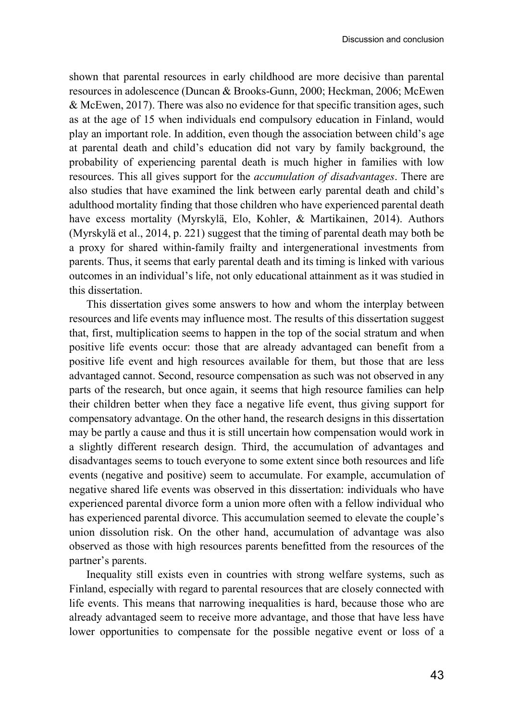shown that parental resources in early childhood are more decisive than parental resources in adolescence (Duncan & Brooks-Gunn, 2000; Heckman, 2006; McEwen & McEwen, 2017). There was also no evidence for that specific transition ages, such as at the age of 15 when individuals end compulsory education in Finland, would play an important role. In addition, even though the association between child's age at parental death and child's education did not vary by family background, the probability of experiencing parental death is much higher in families with low resources. This all gives support for the *accumulation of disadvantages*. There are also studies that have examined the link between early parental death and child's adulthood mortality finding that those children who have experienced parental death have excess mortality (Myrskylä, Elo, Kohler, & Martikainen, 2014). Authors (Myrskylä et al., 2014, p. 221) suggest that the timing of parental death may both be a proxy for shared within-family frailty and intergenerational investments from parents. Thus, it seems that early parental death and its timing is linked with various outcomes in an individual's life, not only educational attainment as it was studied in this dissertation.

This dissertation gives some answers to how and whom the interplay between resources and life events may influence most. The results of this dissertation suggest that, first, multiplication seems to happen in the top of the social stratum and when positive life events occur: those that are already advantaged can benefit from a positive life event and high resources available for them, but those that are less advantaged cannot. Second, resource compensation as such was not observed in any parts of the research, but once again, it seems that high resource families can help their children better when they face a negative life event, thus giving support for compensatory advantage. On the other hand, the research designs in this dissertation may be partly a cause and thus it is still uncertain how compensation would work in a slightly different research design. Third, the accumulation of advantages and disadvantages seems to touch everyone to some extent since both resources and life events (negative and positive) seem to accumulate. For example, accumulation of negative shared life events was observed in this dissertation: individuals who have experienced parental divorce form a union more often with a fellow individual who has experienced parental divorce. This accumulation seemed to elevate the couple's union dissolution risk. On the other hand, accumulation of advantage was also observed as those with high resources parents benefitted from the resources of the partner's parents.

Inequality still exists even in countries with strong welfare systems, such as Finland, especially with regard to parental resources that are closely connected with life events. This means that narrowing inequalities is hard, because those who are already advantaged seem to receive more advantage, and those that have less have lower opportunities to compensate for the possible negative event or loss of a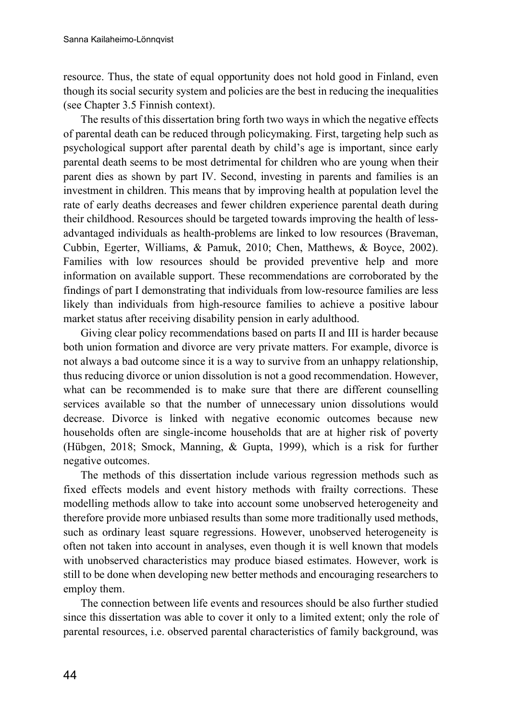resource. Thus, the state of equal opportunity does not hold good in Finland, even though its social security system and policies are the best in reducing the inequalities (see Chapter 3.5 Finnish context).

The results of this dissertation bring forth two ways in which the negative effects of parental death can be reduced through policymaking. First, targeting help such as psychological support after parental death by child's age is important, since early parental death seems to be most detrimental for children who are young when their parent dies as shown by part IV. Second, investing in parents and families is an investment in children. This means that by improving health at population level the rate of early deaths decreases and fewer children experience parental death during their childhood. Resources should be targeted towards improving the health of lessadvantaged individuals as health-problems are linked to low resources (Braveman, Cubbin, Egerter, Williams, & Pamuk, 2010; Chen, Matthews, & Boyce, 2002). Families with low resources should be provided preventive help and more information on available support. These recommendations are corroborated by the findings of part I demonstrating that individuals from low-resource families are less likely than individuals from high-resource families to achieve a positive labour market status after receiving disability pension in early adulthood.

Giving clear policy recommendations based on parts II and III is harder because both union formation and divorce are very private matters. For example, divorce is not always a bad outcome since it is a way to survive from an unhappy relationship, thus reducing divorce or union dissolution is not a good recommendation. However, what can be recommended is to make sure that there are different counselling services available so that the number of unnecessary union dissolutions would decrease. Divorce is linked with negative economic outcomes because new households often are single-income households that are at higher risk of poverty (Hübgen, 2018; Smock, Manning, & Gupta, 1999), which is a risk for further negative outcomes.

The methods of this dissertation include various regression methods such as fixed effects models and event history methods with frailty corrections. These modelling methods allow to take into account some unobserved heterogeneity and therefore provide more unbiased results than some more traditionally used methods, such as ordinary least square regressions. However, unobserved heterogeneity is often not taken into account in analyses, even though it is well known that models with unobserved characteristics may produce biased estimates. However, work is still to be done when developing new better methods and encouraging researchers to employ them.

The connection between life events and resources should be also further studied since this dissertation was able to cover it only to a limited extent; only the role of parental resources, i.e. observed parental characteristics of family background, was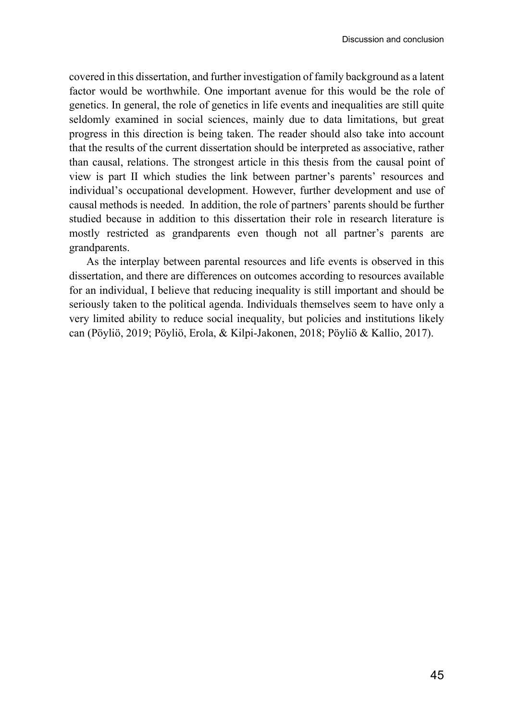covered in this dissertation, and further investigation of family background as a latent factor would be worthwhile. One important avenue for this would be the role of genetics. In general, the role of genetics in life events and inequalities are still quite seldomly examined in social sciences, mainly due to data limitations, but great progress in this direction is being taken. The reader should also take into account that the results of the current dissertation should be interpreted as associative, rather than causal, relations. The strongest article in this thesis from the causal point of view is part II which studies the link between partner's parents' resources and individual's occupational development. However, further development and use of causal methods is needed. In addition, the role of partners' parents should be further studied because in addition to this dissertation their role in research literature is mostly restricted as grandparents even though not all partner's parents are grandparents.

As the interplay between parental resources and life events is observed in this dissertation, and there are differences on outcomes according to resources available for an individual, I believe that reducing inequality is still important and should be seriously taken to the political agenda. Individuals themselves seem to have only a very limited ability to reduce social inequality, but policies and institutions likely can (Pöyliö, 2019; Pöyliö, Erola, & Kilpi-Jakonen, 2018; Pöyliö & Kallio, 2017).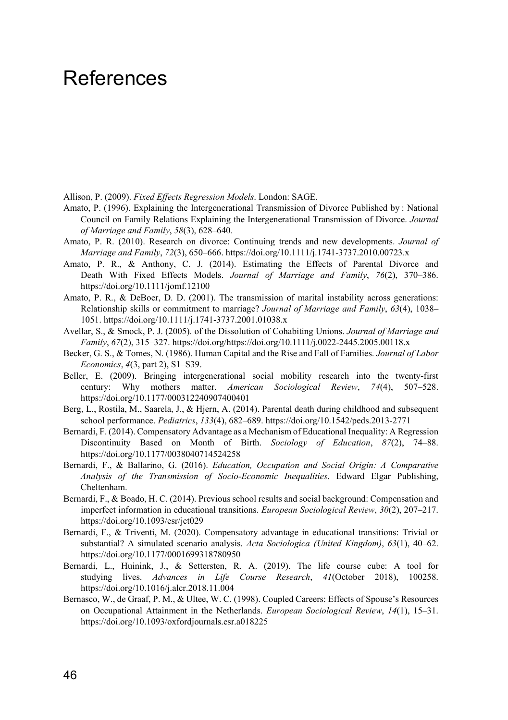# <span id="page-47-0"></span>**References**

Allison, P. (2009). *Fixed Effects Regression Models*. London: SAGE.

- Amato, P. (1996). Explaining the Intergenerational Transmission of Divorce Published by : National Council on Family Relations Explaining the Intergenerational Transmission of Divorce. *Journal of Marriage and Family*, *58*(3), 628–640.
- Amato, P. R. (2010). Research on divorce: Continuing trends and new developments. *Journal of Marriage and Family*, *72*(3), 650–666. https://doi.org/10.1111/j.1741-3737.2010.00723.x
- Amato, P. R., & Anthony, C. J. (2014). Estimating the Effects of Parental Divorce and Death With Fixed Effects Models. *Journal of Marriage and Family*, *76*(2), 370–386. https://doi.org/10.1111/jomf.12100
- Amato, P. R., & DeBoer, D. D. (2001). The transmission of marital instability across generations: Relationship skills or commitment to marriage? *Journal of Marriage and Family*, *63*(4), 1038– 1051. https://doi.org/10.1111/j.1741-3737.2001.01038.x
- Avellar, S., & Smock, P. J. (2005). of the Dissolution of Cohabiting Unions. *Journal of Marriage and Family*, *67*(2), 315–327. https://doi.org/https://doi.org/10.1111/j.0022-2445.2005.00118.x
- Becker, G. S., & Tomes, N. (1986). Human Capital and the Rise and Fall of Families. *Journal of Labor Economics*, *4*(3, part 2), S1–S39.
- Beller, E. (2009). Bringing intergenerational social mobility research into the twenty-first century: Why mothers matter. *American Sociological Review*, *74*(4), 507–528. https://doi.org/10.1177/000312240907400401
- Berg, L., Rostila, M., Saarela, J., & Hjern, A. (2014). Parental death during childhood and subsequent school performance. *Pediatrics*, *133*(4), 682–689. https://doi.org/10.1542/peds.2013-2771
- Bernardi, F. (2014). Compensatory Advantage as a Mechanism of Educational Inequality: A Regression Discontinuity Based on Month of Birth. *Sociology of Education*, *87*(2), 74–88. https://doi.org/10.1177/0038040714524258
- Bernardi, F., & Ballarino, G. (2016). *Education, Occupation and Social Origin: A Comparative Analysis of the Transmission of Socio-Economic Inequalities*. Edward Elgar Publishing, Cheltenham.
- Bernardi, F., & Boado, H. C. (2014). Previous school results and social background: Compensation and imperfect information in educational transitions. *European Sociological Review*, *30*(2), 207–217. https://doi.org/10.1093/esr/jct029
- Bernardi, F., & Triventi, M. (2020). Compensatory advantage in educational transitions: Trivial or substantial? A simulated scenario analysis. *Acta Sociologica (United Kingdom)*, *63*(1), 40–62. https://doi.org/10.1177/0001699318780950
- Bernardi, L., Huinink, J., & Settersten, R. A. (2019). The life course cube: A tool for studying lives. *Advances in Life Course Research*, *41*(October 2018), 100258. https://doi.org/10.1016/j.alcr.2018.11.004
- Bernasco, W., de Graaf, P. M., & Ultee, W. C. (1998). Coupled Careers: Effects of Spouse's Resources on Occupational Attainment in the Netherlands. *European Sociological Review*, *14*(1), 15–31. https://doi.org/10.1093/oxfordjournals.esr.a018225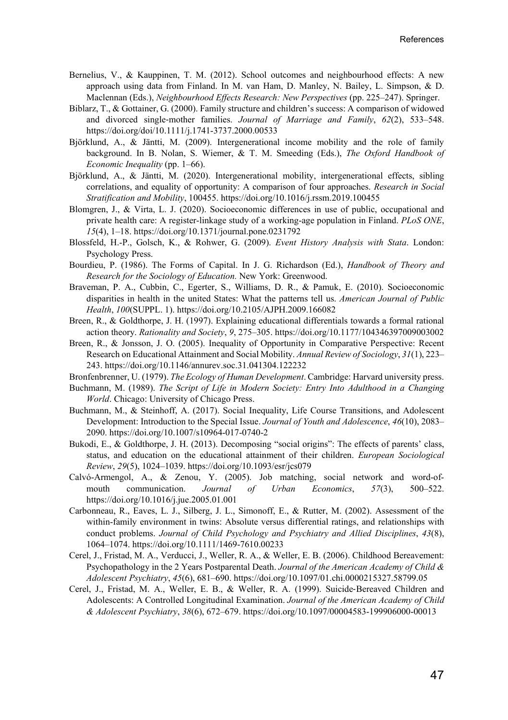- Bernelius, V., & Kauppinen, T. M. (2012). School outcomes and neighbourhood effects: A new approach using data from Finland. In M. van Ham, D. Manley, N. Bailey, L. Simpson, & D. Maclennan (Eds.), *Neighbourhood Effects Research: New Perspectives* (pp. 225–247). Springer.
- Biblarz, T., & Gottainer, G. (2000). Family structure and children's success: A comparison of widowed and divorced single‐mother families. *Journal of Marriage and Family*, *62*(2), 533–548. https://doi.org/doi/10.1111/j.1741-3737.2000.00533
- Björklund, A., & Jäntti, M. (2009). Intergenerational income mobility and the role of family background. In B. Nolan, S. Wiemer, & T. M. Smeeding (Eds.), *The Oxford Handbook of Economic Inequality* (pp. 1–66).
- Björklund, A., & Jäntti, M. (2020). Intergenerational mobility, intergenerational effects, sibling correlations, and equality of opportunity: A comparison of four approaches. *Research in Social Stratification and Mobility*, 100455. https://doi.org/10.1016/j.rssm.2019.100455
- Blomgren, J., & Virta, L. J. (2020). Socioeconomic differences in use of public, occupational and private health care: A register-linkage study of a working-age population in Finland. *PLoS ONE*, *15*(4), 1–18. https://doi.org/10.1371/journal.pone.0231792
- Blossfeld, H.-P., Golsch, K., & Rohwer, G. (2009). *Event History Analysis with Stata*. London: Psychology Press.
- Bourdieu, P. (1986). The Forms of Capital. In J. G. Richardson (Ed.), *Handbook of Theory and Research for the Sociology of Education.* New York: Greenwood.
- Braveman, P. A., Cubbin, C., Egerter, S., Williams, D. R., & Pamuk, E. (2010). Socioeconomic disparities in health in the united States: What the patterns tell us. *American Journal of Public Health*, *100*(SUPPL. 1). https://doi.org/10.2105/AJPH.2009.166082
- Breen, R., & Goldthorpe, J. H. (1997). Explaining educational differentials towards a formal rational action theory. *Rationality and Society*, *9*, 275–305. https://doi.org/10.1177/104346397009003002
- Breen, R., & Jonsson, J. O. (2005). Inequality of Opportunity in Comparative Perspective: Recent Research on Educational Attainment and Social Mobility. *Annual Review of Sociology*, *31*(1), 223– 243. https://doi.org/10.1146/annurev.soc.31.041304.122232
- Bronfenbrenner, U. (1979). *The Ecology of Human Development*. Cambridge: Harvard university press.
- Buchmann, M. (1989). *The Script of Life in Modern Society: Entry Into Adulthood in a Changing World*. Chicago: University of Chicago Press.
- Buchmann, M., & Steinhoff, A. (2017). Social Inequality, Life Course Transitions, and Adolescent Development: Introduction to the Special Issue. *Journal of Youth and Adolescence*, *46*(10), 2083– 2090. https://doi.org/10.1007/s10964-017-0740-2
- Bukodi, E., & Goldthorpe, J. H. (2013). Decomposing "social origins": The effects of parents' class, status, and education on the educational attainment of their children. *European Sociological Review*, *29*(5), 1024–1039. https://doi.org/10.1093/esr/jcs079
- Calvó-Armengol, A., & Zenou, Y. (2005). Job matching, social network and word-ofmouth communication. *Journal of Urban Economics*, *57*(3), 500–522. https://doi.org/10.1016/j.jue.2005.01.001
- Carbonneau, R., Eaves, L. J., Silberg, J. L., Simonoff, E., & Rutter, M. (2002). Assessment of the within-family environment in twins: Absolute versus differential ratings, and relationships with conduct problems. *Journal of Child Psychology and Psychiatry and Allied Disciplines*, *43*(8), 1064–1074. https://doi.org/10.1111/1469-7610.00233
- Cerel, J., Fristad, M. A., Verducci, J., Weller, R. A., & Weller, E. B. (2006). Childhood Bereavement: Psychopathology in the 2 Years Postparental Death. *Journal of the American Academy of Child & Adolescent Psychiatry*, *45*(6), 681–690. https://doi.org/10.1097/01.chi.0000215327.58799.05
- Cerel, J., Fristad, M. A., Weller, E. B., & Weller, R. A. (1999). Suicide‐Bereaved Children and Adolescents: A Controlled Longitudinal Examination. *Journal of the American Academy of Child & Adolescent Psychiatry*, *38*(6), 672–679. https://doi.org/10.1097/00004583-199906000-00013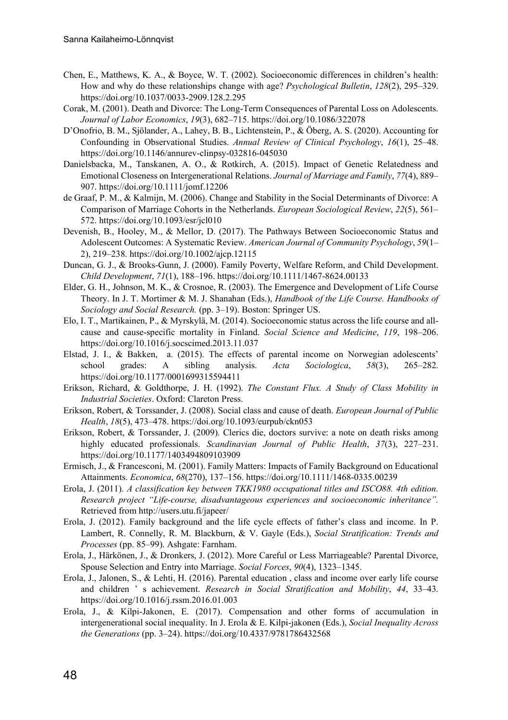- Chen, E., Matthews, K. A., & Boyce, W. T. (2002). Socioeconomic differences in children's health: How and why do these relationships change with age? *Psychological Bulletin*, *128*(2), 295–329. https://doi.org/10.1037/0033-2909.128.2.295
- Corak, M. (2001). Death and Divorce: The Long-Term Consequences of Parental Loss on Adolescents. *Journal of Labor Economics*, *19*(3), 682–715. https://doi.org/10.1086/322078
- D'Onofrio, B. M., Sjölander, A., Lahey, B. B., Lichtenstein, P., & Öberg, A. S. (2020). Accounting for Confounding in Observational Studies. *Annual Review of Clinical Psychology*, *16*(1), 25–48. https://doi.org/10.1146/annurev-clinpsy-032816-045030
- Danielsbacka, M., Tanskanen, A. O., & Rotkirch, A. (2015). Impact of Genetic Relatedness and Emotional Closeness on Intergenerational Relations. *Journal of Marriage and Family*, *77*(4), 889– 907. https://doi.org/10.1111/jomf.12206
- de Graaf, P. M., & Kalmijn, M. (2006). Change and Stability in the Social Determinants of Divorce: A Comparison of Marriage Cohorts in the Netherlands. *European Sociological Review*, *22*(5), 561– 572. https://doi.org/10.1093/esr/jcl010
- Devenish, B., Hooley, M., & Mellor, D. (2017). The Pathways Between Socioeconomic Status and Adolescent Outcomes: A Systematic Review. *American Journal of Community Psychology*, *59*(1– 2), 219–238. https://doi.org/10.1002/ajcp.12115
- Duncan, G. J., & Brooks-Gunn, J. (2000). Family Poverty, Welfare Reform, and Child Development. *Child Development*, *71*(1), 188–196. https://doi.org/10.1111/1467-8624.00133
- Elder, G. H., Johnson, M. K., & Crosnoe, R. (2003). The Emergence and Development of Life Course Theory. In J. T. Mortimer & M. J. Shanahan (Eds.), *Handbook of the Life Course. Handbooks of Sociology and Social Research.* (pp. 3–19). Boston: Springer US.
- Elo, I. T., Martikainen, P., & Myrskylä, M. (2014). Socioeconomic status across the life course and allcause and cause-specific mortality in Finland. *Social Science and Medicine*, *119*, 198–206. https://doi.org/10.1016/j.socscimed.2013.11.037
- Elstad, J. I., & Bakken, a. (2015). The effects of parental income on Norwegian adolescents' school grades: A sibling analysis. *Acta Sociologica*, *58*(3), 265–282. https://doi.org/10.1177/0001699315594411
- Erikson, Richard, & Goldthorpe, J. H. (1992). *The Constant Flux. A Study of Class Mobility in Industrial Societies*. Oxford: Clareton Press.
- Erikson, Robert, & Torssander, J. (2008). Social class and cause of death. *European Journal of Public Health*, *18*(5), 473–478. https://doi.org/10.1093/eurpub/ckn053
- Erikson, Robert, & Torssander, J. (2009). Clerics die, doctors survive: a note on death risks among highly educated professionals. *Scandinavian Journal of Public Health*, *37*(3), 227–231. https://doi.org/10.1177/1403494809103909
- Ermisch, J., & Francesconi, M. (2001). Family Matters: Impacts of Family Background on Educational Attainments. *Economica*, *68*(270), 137–156. https://doi.org/10.1111/1468-0335.00239
- Erola, J. (2011). *A classification key between TKK1980 occupational titles and ISCO88. 4th edition. Research project "Life-course, disadvantageous experiences and socioeconomic inheritance".* Retrieved from http://users.utu.fi/japeer/
- Erola, J. (2012). Family background and the life cycle effects of father's class and income. In P. Lambert, R. Connelly, R. M. Blackburn, & V. Gayle (Eds.), *Social Stratification: Trends and Processes* (pp. 85–99). Ashgate: Farnham.
- Erola, J., Härkönen, J., & Dronkers, J. (2012). More Careful or Less Marriageable? Parental Divorce, Spouse Selection and Entry into Marriage. *Social Forces*, *90*(4), 1323–1345.
- Erola, J., Jalonen, S., & Lehti, H. (2016). Parental education , class and income over early life course and children ' s achievement. *Research in Social Stratification and Mobility*, *44*, 33–43. https://doi.org/10.1016/j.rssm.2016.01.003
- Erola, J., & Kilpi-Jakonen, E. (2017). Compensation and other forms of accumulation in intergenerational social inequality. In J. Erola & E. Kilpi-jakonen (Eds.), *Social Inequality Across the Generations* (pp. 3–24). https://doi.org/10.4337/9781786432568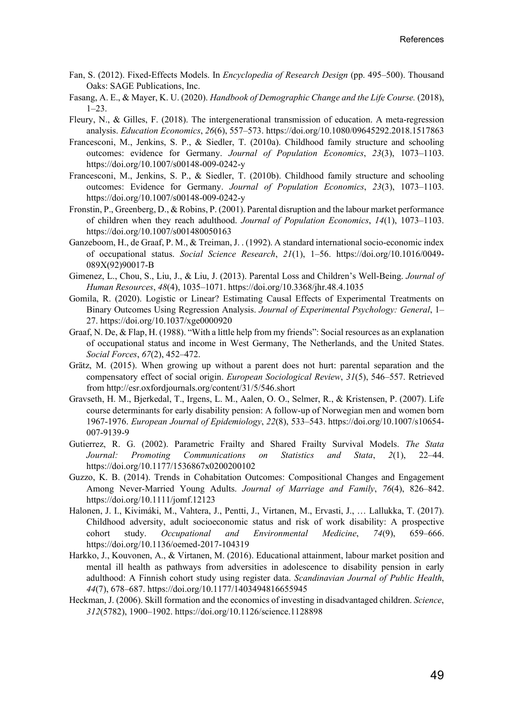- Fan, S. (2012). Fixed-Effects Models. In *Encyclopedia of Research Design* (pp. 495–500). Thousand Oaks: SAGE Publications, Inc.
- Fasang, A. E., & Mayer, K. U. (2020). *Handbook of Demographic Change and the Life Course.* (2018), 1–23.
- Fleury, N., & Gilles, F. (2018). The intergenerational transmission of education. A meta-regression analysis. *Education Economics*, *26*(6), 557–573. https://doi.org/10.1080/09645292.2018.1517863
- Francesconi, M., Jenkins, S. P., & Siedler, T. (2010a). Childhood family structure and schooling outcomes: evidence for Germany. *Journal of Population Economics*, *23*(3), 1073–1103. https://doi.org/10.1007/s00148-009-0242-y
- Francesconi, M., Jenkins, S. P., & Siedler, T. (2010b). Childhood family structure and schooling outcomes: Evidence for Germany. *Journal of Population Economics*, *23*(3), 1073–1103. https://doi.org/10.1007/s00148-009-0242-y
- Fronstin, P., Greenberg, D., & Robins, P. (2001). Parental disruption and the labour market performance of children when they reach adulthood. *Journal of Population Economics*, *14*(1), 1073–1103. https://doi.org/10.1007/s001480050163
- Ganzeboom, H., de Graaf, P. M., & Treiman, J. . (1992). A standard international socio-economic index of occupational status. *Social Science Research*, *21*(1), 1–56. https://doi.org/10.1016/0049- 089X(92)90017-B
- Gimenez, L., Chou, S., Liu, J., & Liu, J. (2013). Parental Loss and Children's Well-Being. *Journal of Human Resources*, *48*(4), 1035–1071. https://doi.org/10.3368/jhr.48.4.1035
- Gomila, R. (2020). Logistic or Linear? Estimating Causal Effects of Experimental Treatments on Binary Outcomes Using Regression Analysis. *Journal of Experimental Psychology: General*, 1– 27. https://doi.org/10.1037/xge0000920
- Graaf, N. De, & Flap, H. (1988). "With a little help from my friends": Social resources as an explanation of occupational status and income in West Germany, The Netherlands, and the United States. *Social Forces*, *67*(2), 452–472.
- Grätz, M. (2015). When growing up without a parent does not hurt: parental separation and the compensatory effect of social origin. *European Sociological Review*, *31*(5), 546–557. Retrieved from http://esr.oxfordjournals.org/content/31/5/546.short
- Gravseth, H. M., Bjerkedal, T., Irgens, L. M., Aalen, O. O., Selmer, R., & Kristensen, P. (2007). Life course determinants for early disability pension: A follow-up of Norwegian men and women born 1967-1976. *European Journal of Epidemiology*, *22*(8), 533–543. https://doi.org/10.1007/s10654- 007-9139-9
- Gutierrez, R. G. (2002). Parametric Frailty and Shared Frailty Survival Models. *The Stata Journal: Promoting Communications on Statistics and Stata*, *2*(1), 22–44. https://doi.org/10.1177/1536867x0200200102
- Guzzo, K. B. (2014). Trends in Cohabitation Outcomes: Compositional Changes and Engagement Among Never-Married Young Adults. *Journal of Marriage and Family*, *76*(4), 826–842. https://doi.org/10.1111/jomf.12123
- Halonen, J. I., Kivimáki, M., Vahtera, J., Pentti, J., Virtanen, M., Ervasti, J., … Lallukka, T. (2017). Childhood adversity, adult socioeconomic status and risk of work disability: A prospective cohort study. *Occupational and Environmental Medicine*, *74*(9), 659–666. https://doi.org/10.1136/oemed-2017-104319
- Harkko, J., Kouvonen, A., & Virtanen, M. (2016). Educational attainment, labour market position and mental ill health as pathways from adversities in adolescence to disability pension in early adulthood: A Finnish cohort study using register data. *Scandinavian Journal of Public Health*, *44*(7), 678–687. https://doi.org/10.1177/1403494816655945
- Heckman, J. (2006). Skill formation and the economics of investing in disadvantaged children. *Science*, *312*(5782), 1900–1902. https://doi.org/10.1126/science.1128898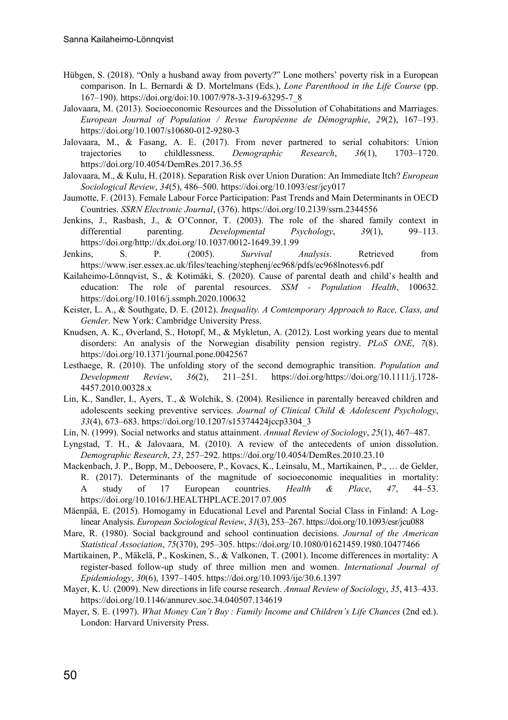- Hübgen, S. (2018). "Only a husband away from poverty?" Lone mothers' poverty risk in a European comparison. In L. Bernardi & D. Mortelmans (Eds.), *Lone Parenthood in the Life Course* (pp. 167–190). https://doi.org/doi:10.1007/978-3-319-63295-7\_8
- Jalovaara, M. (2013). Socioeconomic Resources and the Dissolution of Cohabitations and Marriages. *European Journal of Population / Revue Européenne de Démographie*, *29*(2), 167–193. https://doi.org/10.1007/s10680-012-9280-3
- Jalovaara, M., & Fasang, A. E. (2017). From never partnered to serial cohabitors: Union trajectories to childlessness. *Demographic Research*, *36*(1), 1703–1720. https://doi.org/10.4054/DemRes.2017.36.55
- Jalovaara, M., & Kulu, H. (2018). Separation Risk over Union Duration: An Immediate Itch? *European Sociological Review*, *34*(5), 486–500. https://doi.org/10.1093/esr/jcy017
- Jaumotte, F. (2013). Female Labour Force Participation: Past Trends and Main Determinants in OECD Countries. *SSRN Electronic Journal*, (376). https://doi.org/10.2139/ssrn.2344556
- Jenkins, J., Rasbash, J., & O'Connor, T. (2003). The role of the shared family context in differential parenting. *Developmental Psychology*, *39*(1), 99–113. https://doi.org/http://dx.doi.org/10.1037/0012-1649.39.1.99
- Jenkins, S. P. (2005). *Survival Analysis*. Retrieved from https://www.iser.essex.ac.uk/files/teaching/stephenj/ec968/pdfs/ec968lnotesv6.pdf
- Kailaheimo-Lönnqvist, S., & Kotimäki, S. (2020). Cause of parental death and child's health and education: The role of parental resources. *SSM - Population Health*, 100632. https://doi.org/10.1016/j.ssmph.2020.100632
- Keister, L. A., & Southgate, D. E. (2012). *Inequality. A Comtemporary Approach to Race, Class, and Gender*. New York: Cambridge University Press.
- Knudsen, A. K., Øverland, S., Hotopf, M., & Mykletun, A. (2012). Lost working years due to mental disorders: An analysis of the Norwegian disability pension registry. *PLoS ONE*, *7*(8). https://doi.org/10.1371/journal.pone.0042567
- Lesthaege, R. (2010). The unfolding story of the second demographic transition. *Population and Development Review*, *36*(2), 211–251. https://doi.org/https://doi.org/10.1111/j.1728- 4457.2010.00328.x
- Lin, K., Sandler, I., Ayers, T., & Wolchik, S. (2004). Resilience in parentally bereaved children and adolescents seeking preventive services. *Journal of Clinical Child & Adolescent Psychology*, *33*(4), 673–683. https://doi.org/10.1207/s15374424jccp3304\_3
- Lin, N. (1999). Social networks and status attainment. *Annual Review of Sociology*, *25*(1), 467–487.
- Lyngstad, T. H., & Jalovaara, M. (2010). A review of the antecedents of union dissolution. *Demographic Research*, *23*, 257–292. https://doi.org/10.4054/DemRes.2010.23.10
- Mackenbach, J. P., Bopp, M., Deboosere, P., Kovacs, K., Leinsalu, M., Martikainen, P., … de Gelder, R. (2017). Determinants of the magnitude of socioeconomic inequalities in mortality: A study of 17 European countries. *Health & Place*, *47*, 44–53. https://doi.org/10.1016/J.HEALTHPLACE.2017.07.005
- Mäenpää, E. (2015). Homogamy in Educational Level and Parental Social Class in Finland: A Loglinear Analysis. *European Sociological Review*, *31*(3), 253–267. https://doi.org/10.1093/esr/jcu088
- Mare, R. (1980). Social background and school continuation decisions. *Journal of the American Statistical Association*, *75*(370), 295–305. https://doi.org/10.1080/01621459.1980.10477466
- Martikainen, P., Mäkelä, P., Koskinen, S., & Valkonen, T. (2001). Income differences in mortality: A register-based follow-up study of three million men and women. *International Journal of Epidemiology*, *30*(6), 1397–1405. https://doi.org/10.1093/ije/30.6.1397
- Mayer, K. U. (2009). New directions in life course research. *Annual Review of Sociology*, *35*, 413–433. https://doi.org/10.1146/annurev.soc.34.040507.134619
- Mayer, S. E. (1997). *What Money Can't Buy : Family Income and Children's Life Chances* (2nd ed.). London: Harvard University Press.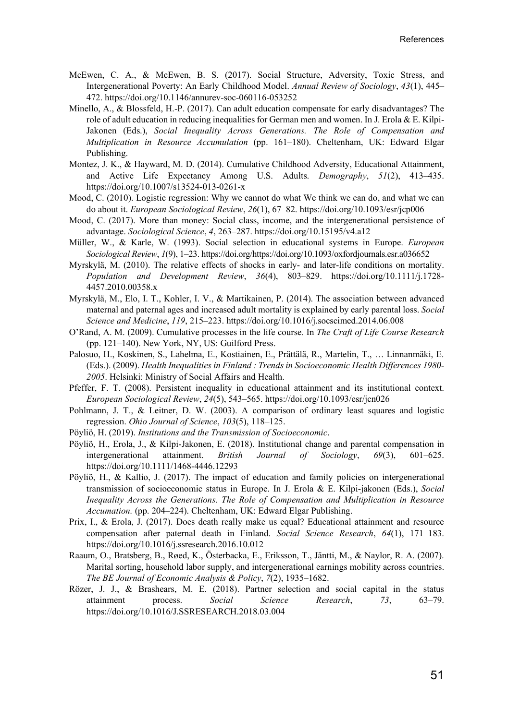- McEwen, C. A., & McEwen, B. S. (2017). Social Structure, Adversity, Toxic Stress, and Intergenerational Poverty: An Early Childhood Model. *Annual Review of Sociology*, *43*(1), 445– 472. https://doi.org/10.1146/annurev-soc-060116-053252
- Minello, A., & Blossfeld, H.-P. (2017). Can adult education compensate for early disadvantages? The role of adult education in reducing inequalities for German men and women. In J. Erola & E. Kilpi-Jakonen (Eds.), *Social Inequality Across Generations. The Role of Compensation and Multiplication in Resource Accumulation* (pp. 161–180). Cheltenham, UK: Edward Elgar Publishing.
- Montez, J. K., & Hayward, M. D. (2014). Cumulative Childhood Adversity, Educational Attainment, and Active Life Expectancy Among U.S. Adults. *Demography*, *51*(2), 413–435. https://doi.org/10.1007/s13524-013-0261-x
- Mood, C. (2010). Logistic regression: Why we cannot do what We think we can do, and what we can do about it. *European Sociological Review*, *26*(1), 67–82. https://doi.org/10.1093/esr/jcp006
- Mood, C. (2017). More than money: Social class, income, and the intergenerational persistence of advantage. *Sociological Science*, *4*, 263–287. https://doi.org/10.15195/v4.a12
- Müller, W., & Karle, W. (1993). Social selection in educational systems in Europe. *European Sociological Review*, *1*(9), 1–23. https://doi.org/https://doi.org/10.1093/oxfordjournals.esr.a036652
- Myrskylä, M. (2010). The relative effects of shocks in early- and later-life conditions on mortality. *Population and Development Review*, *36*(4), 803–829. https://doi.org/10.1111/j.1728- 4457.2010.00358.x
- Myrskylä, M., Elo, I. T., Kohler, I. V., & Martikainen, P. (2014). The association between advanced maternal and paternal ages and increased adult mortality is explained by early parental loss. *Social Science and Medicine*, *119*, 215–223. https://doi.org/10.1016/j.socscimed.2014.06.008
- O'Rand, A. M. (2009). Cumulative processes in the life course. In *The Craft of Life Course Research* (pp. 121–140). New York, NY, US: Guilford Press.
- Palosuo, H., Koskinen, S., Lahelma, E., Kostiainen, E., Prättälä, R., Martelin, T., … Linnanmäki, E. (Eds.). (2009). *Health Inequalities in Finland : Trends in Socioeconomic Health Differences 1980- 2005*. Helsinki: Ministry of Social Affairs and Health.
- Pfeffer, F. T. (2008). Persistent inequality in educational attainment and its institutional context. *European Sociological Review*, *24*(5), 543–565. https://doi.org/10.1093/esr/jcn026
- Pohlmann, J. T., & Leitner, D. W. (2003). A comparison of ordinary least squares and logistic regression. *Ohio Journal of Science*, *103*(5), 118–125.
- Pöyliö, H. (2019). *Institutions and the Transmission of Socioeconomic*.
- Pöyliö, H., Erola, J., & Kilpi-Jakonen, E. (2018). Institutional change and parental compensation in intergenerational attainment. *British Journal of Sociology*, *69*(3), 601–625. https://doi.org/10.1111/1468-4446.12293
- Pöyliö, H., & Kallio, J. (2017). The impact of education and family policies on intergenerational transmission of socioeconomic status in Europe. In J. Erola & E. Kilpi-jakonen (Eds.), *Social Inequality Across the Generations. The Role of Compensation and Multiplication in Resource Accumation.* (pp. 204–224). Cheltenham, UK: Edward Elgar Publishing.
- Prix, I., & Erola, J. (2017). Does death really make us equal? Educational attainment and resource compensation after paternal death in Finland. *Social Science Research*, *64*(1), 171–183. https://doi.org/10.1016/j.ssresearch.2016.10.012
- Raaum, O., Bratsberg, B., Røed, K., Österbacka, E., Eriksson, T., Jäntti, M., & Naylor, R. A. (2007). Marital sorting, household labor supply, and intergenerational earnings mobility across countries. *The BE Journal of Economic Analysis & Policy*, *7*(2), 1935–1682.
- Rözer, J. J., & Brashears, M. E. (2018). Partner selection and social capital in the status attainment process. *Social Science Research*, *73*, 63–79. https://doi.org/10.1016/J.SSRESEARCH.2018.03.004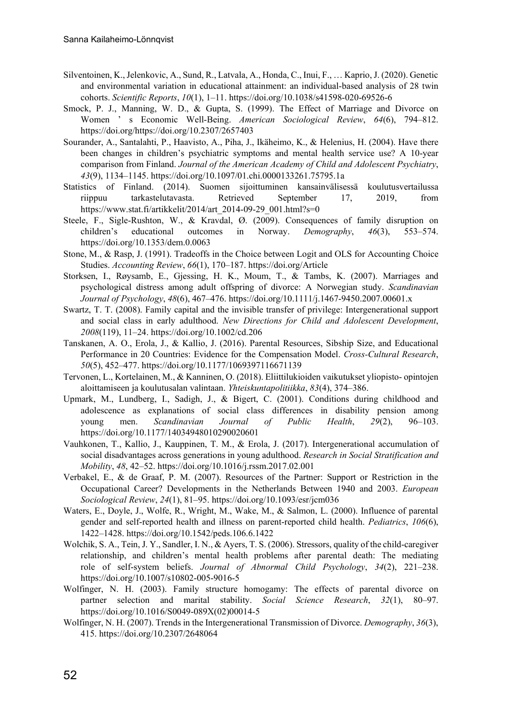- Silventoinen, K., Jelenkovic, A., Sund, R., Latvala, A., Honda, C., Inui, F., … Kaprio, J. (2020). Genetic and environmental variation in educational attainment: an individual-based analysis of 28 twin cohorts. *Scientific Reports*, *10*(1), 1–11. https://doi.org/10.1038/s41598-020-69526-6
- Smock, P. J., Manning, W. D., & Gupta, S. (1999). The Effect of Marriage and Divorce on Women ' s Economic Well-Being. *American Sociological Review*, *64*(6), 794–812. https://doi.org/https://doi.org/10.2307/2657403
- Sourander, A., Santalahti, P., Haavisto, A., Piha, J., Ikäheimo, K., & Helenius, H. (2004). Have there been changes in children's psychiatric symptoms and mental health service use? A 10-year comparison from Finland. *Journal of the American Academy of Child and Adolescent Psychiatry*, *43*(9), 1134–1145. https://doi.org/10.1097/01.chi.0000133261.75795.1a
- Statistics of Finland. (2014). Suomen sijoittuminen kansainvälisessä koulutusvertailussa riippuu tarkastelutavasta. Retrieved September 17, 2019, from https://www.stat.fi/artikkelit/2014/art\_2014-09-29\_001.html?s=0
- Steele, F., Sigle-Rushton, W., & Kravdal, Ø. (2009). Consequences of family disruption on children's educational outcomes in Norway. *Demography*, *46*(3), 553–574. https://doi.org/10.1353/dem.0.0063
- Stone, M., & Rasp, J. (1991). Tradeoffs in the Choice between Logit and OLS for Accounting Choice Studies. *Accounting Review*, *66*(1), 170–187. https://doi.org/Article
- Storksen, I., Røysamb, E., Gjessing, H. K., Moum, T., & Tambs, K. (2007). Marriages and psychological distress among adult offspring of divorce: A Norwegian study. *Scandinavian Journal of Psychology*, *48*(6), 467–476. https://doi.org/10.1111/j.1467-9450.2007.00601.x
- Swartz, T. T. (2008). Family capital and the invisible transfer of privilege: Intergenerational support and social class in early adulthood. *New Directions for Child and Adolescent Development*, *2008*(119), 11–24. https://doi.org/10.1002/cd.206
- Tanskanen, A. O., Erola, J., & Kallio, J. (2016). Parental Resources, Sibship Size, and Educational Performance in 20 Countries: Evidence for the Compensation Model. *Cross-Cultural Research*, *50*(5), 452–477. https://doi.org/10.1177/1069397116671139
- Tervonen, L., Kortelainen, M., & Kanninen, O. (2018). Eliittilukioiden vaikutukset yliopisto- opintojen aloittamiseen ja koulutusalan valintaan. *Yhteiskuntapolitiikka*, *83*(4), 374–386.
- Upmark, M., Lundberg, I., Sadigh, J., & Bigert, C. (2001). Conditions during childhood and adolescence as explanations of social class differences in disability pension among young men. *Scandinavian Journal of Public Health*, *29*(2), 96–103. https://doi.org/10.1177/14034948010290020601
- Vauhkonen, T., Kallio, J., Kauppinen, T. M., & Erola, J. (2017). Intergenerational accumulation of social disadvantages across generations in young adulthood. *Research in Social Stratification and Mobility*, *48*, 42–52. https://doi.org/10.1016/j.rssm.2017.02.001
- Verbakel, E., & de Graaf, P. M. (2007). Resources of the Partner: Support or Restriction in the Occupational Career? Developments in the Netherlands Between 1940 and 2003. *European Sociological Review*, *24*(1), 81–95. https://doi.org/10.1093/esr/jcm036
- Waters, E., Doyle, J., Wolfe, R., Wright, M., Wake, M., & Salmon, L. (2000). Influence of parental gender and self-reported health and illness on parent-reported child health. *Pediatrics*, *106*(6), 1422–1428. https://doi.org/10.1542/peds.106.6.1422
- Wolchik, S. A., Tein, J. Y., Sandler, I. N., & Ayers, T. S. (2006). Stressors, quality of the child-caregiver relationship, and children's mental health problems after parental death: The mediating role of self-system beliefs. *Journal of Abnormal Child Psychology*, *34*(2), 221–238. https://doi.org/10.1007/s10802-005-9016-5
- Wolfinger, N. H. (2003). Family structure homogamy: The effects of parental divorce on partner selection and marital stability. *Social Science Research*, *32*(1), 80–97. https://doi.org/10.1016/S0049-089X(02)00014-5
- Wolfinger, N. H. (2007). Trends in the Intergenerational Transmission of Divorce. *Demography*, *36*(3), 415. https://doi.org/10.2307/2648064